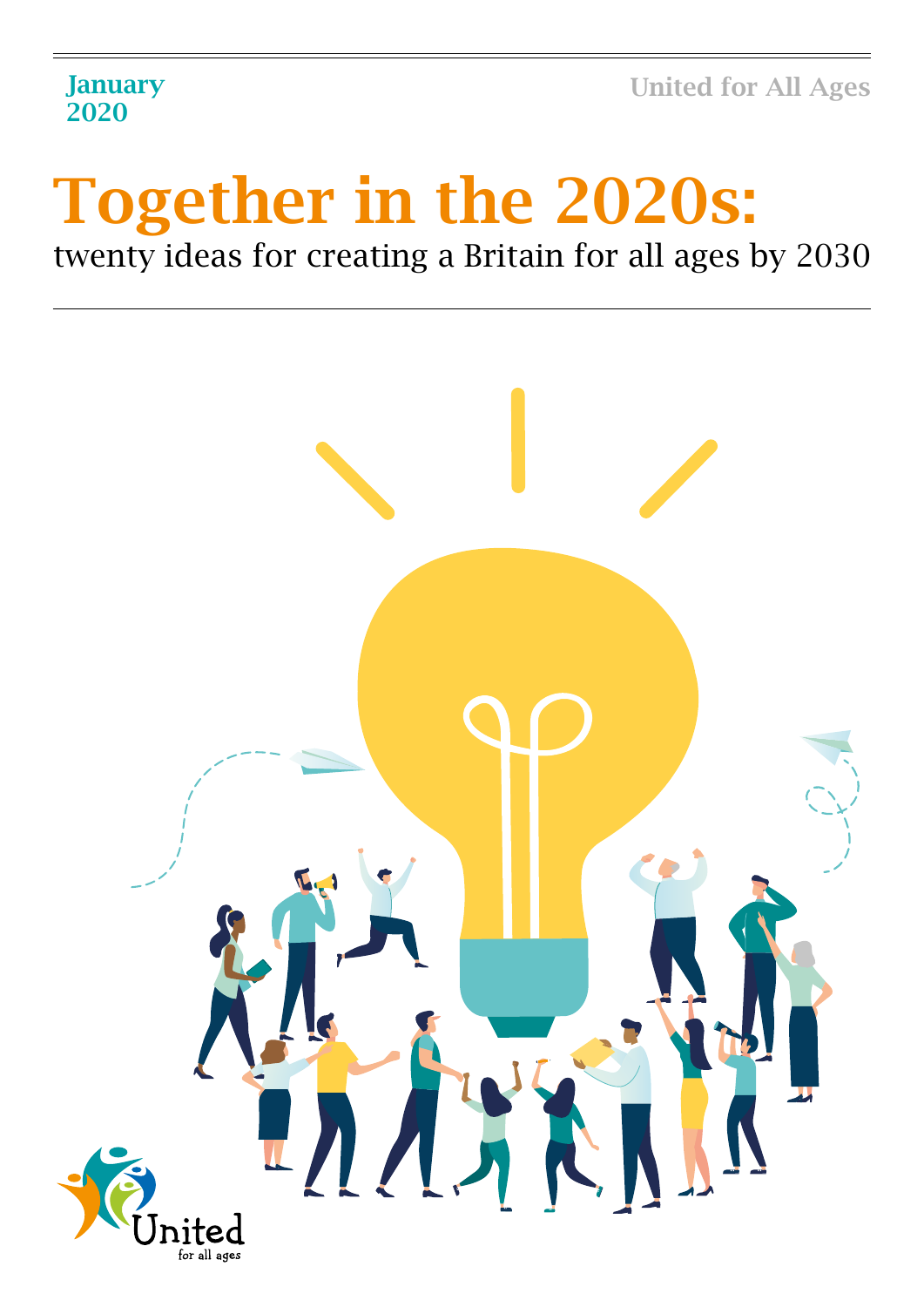United for All Ages

## January 2020

# Together in the 2020s: twenty ideas for creating a Britain for all ages by 2030

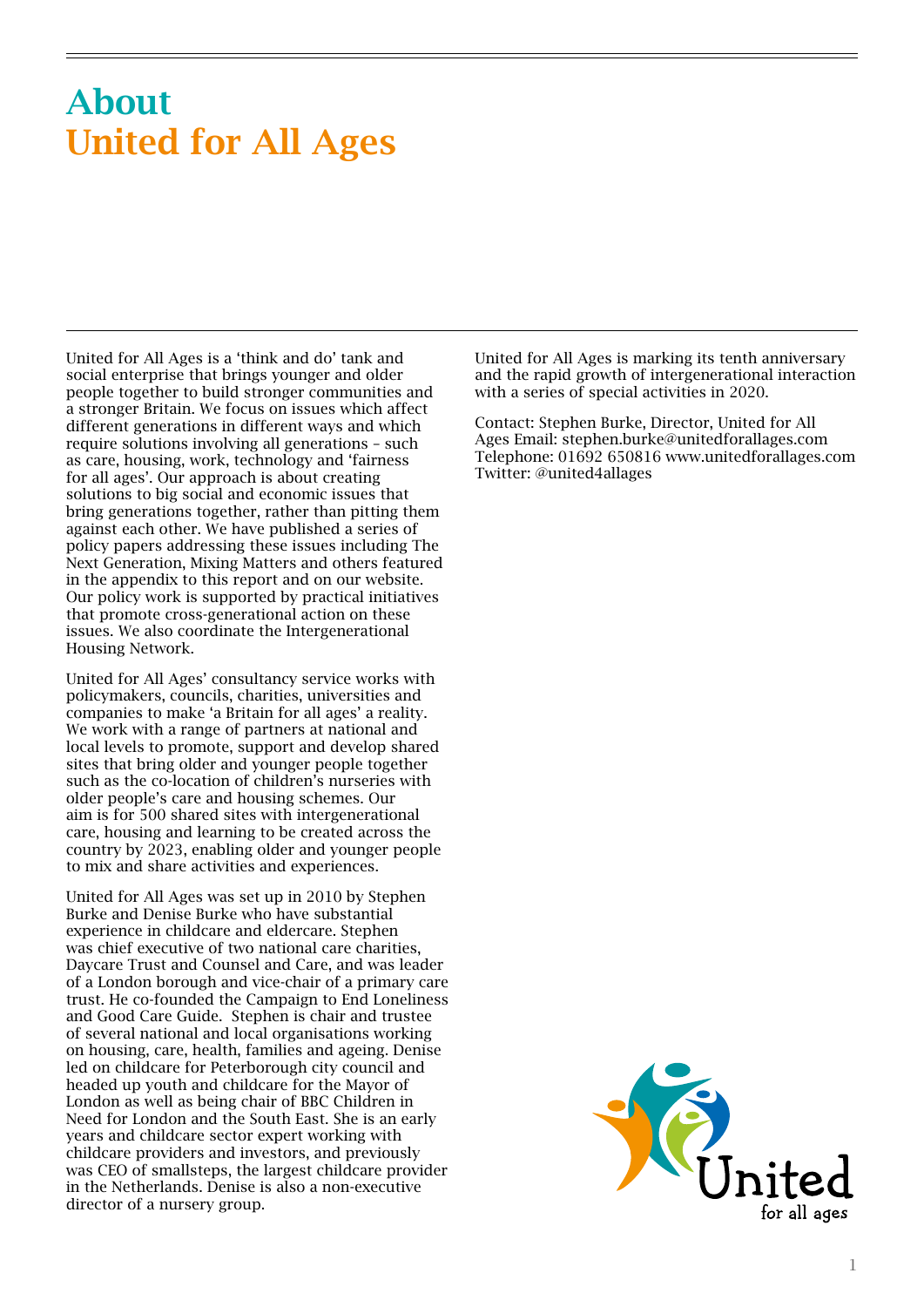# About United for All Ages

United for All Ages is a 'think and do' tank and social enterprise that brings younger and older people together to build stronger communities and a stronger Britain. We focus on issues which affect different generations in different ways and which require solutions involving all generations – such as care, housing, work, technology and 'fairness for all ages'. Our approach is about creating solutions to big social and economic issues that bring generations together, rather than pitting them against each other. We have published a series of policy papers addressing these issues including The Next Generation, Mixing Matters and others featured in the appendix to this report and on our website. Our policy work is supported by practical initiatives that promote cross-generational action on these issues. We also coordinate the Intergenerational Housing Network.

United for All Ages' consultancy service works with policymakers, councils, charities, universities and companies to make 'a Britain for all ages' a reality. We work with a range of partners at national and local levels to promote, support and develop shared sites that bring older and younger people together such as the co-location of children's nurseries with older people's care and housing schemes. Our aim is for 500 shared sites with intergenerational care, housing and learning to be created across the country by 2023, enabling older and younger people to mix and share activities and experiences.

United for All Ages was set up in 2010 by Stephen Burke and Denise Burke who have substantial experience in childcare and eldercare. Stephen was chief executive of two national care charities, Daycare Trust and Counsel and Care, and was leader of a London borough and vice-chair of a primary care trust. He co-founded the Campaign to End Loneliness and Good Care Guide. Stephen is chair and trustee of several national and local organisations working on housing, care, health, families and ageing. Denise led on childcare for Peterborough city council and headed up youth and childcare for the Mayor of London as well as being chair of BBC Children in Need for London and the South East. She is an early years and childcare sector expert working with childcare providers and investors, and previously was CEO of smallsteps, the largest childcare provider in the Netherlands. Denise is also a non-executive director of a nursery group.

United for All Ages is marking its tenth anniversary and the rapid growth of intergenerational interaction with a series of special activities in 2020.

Contact: Stephen Burke, Director, United for All Ages Email: [stephen.burke@unitedforallages.com](mailto:stephen.burke%40unitedforallages.com?subject=) Telephone: 01692 650816 [www.unitedforallages.com](http://www.unitedforallages.com) Twitter: @united4allages

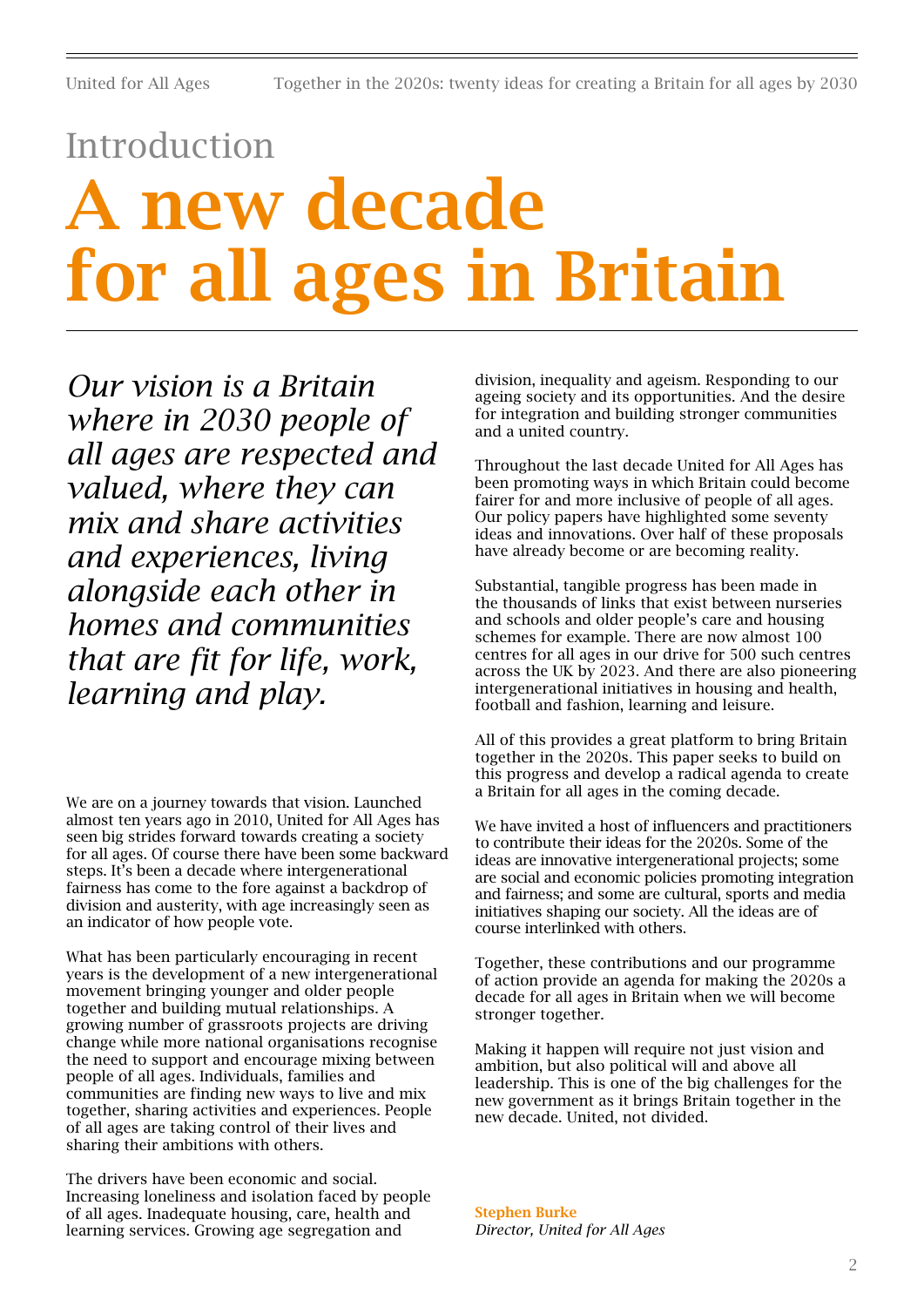# Introduction A new decade for all ages in Britain

*Our vision is a Britain where in 2030 people of all ages are respected and valued, where they can mix and share activities and experiences, living alongside each other in homes and communities that are fit for life, work, learning and play.*

We are on a journey towards that vision. Launched almost ten years ago in 2010, United for All Ages has seen big strides forward towards creating a society for all ages. Of course there have been some backward steps. It's been a decade where intergenerational fairness has come to the fore against a backdrop of division and austerity, with age increasingly seen as an indicator of how people vote.

What has been particularly encouraging in recent years is the development of a new intergenerational movement bringing younger and older people together and building mutual relationships. A growing number of grassroots projects are driving change while more national organisations recognise the need to support and encourage mixing between people of all ages. Individuals, families and communities are finding new ways to live and mix together, sharing activities and experiences. People of all ages are taking control of their lives and sharing their ambitions with others.

The drivers have been economic and social. Increasing loneliness and isolation faced by people of all ages. Inadequate housing, care, health and learning services. Growing age segregation and

division, inequality and ageism. Responding to our ageing society and its opportunities. And the desire for integration and building stronger communities and a united country.

Throughout the last decade United for All Ages has been promoting ways in which Britain could become fairer for and more inclusive of people of all ages. Our policy papers have highlighted some seventy ideas and innovations. Over half of these proposals have already become or are becoming reality.

Substantial, tangible progress has been made in the thousands of links that exist between nurseries and schools and older people's care and housing schemes for example. There are now almost 100 centres for all ages in our drive for 500 such centres across the UK by 2023. And there are also pioneering intergenerational initiatives in housing and health, football and fashion, learning and leisure.

All of this provides a great platform to bring Britain together in the 2020s. This paper seeks to build on this progress and develop a radical agenda to create a Britain for all ages in the coming decade.

We have invited a host of influencers and practitioners to contribute their ideas for the 2020s. Some of the ideas are innovative intergenerational projects; some are social and economic policies promoting integration and fairness; and some are cultural, sports and media initiatives shaping our society. All the ideas are of course interlinked with others.

Together, these contributions and our programme of action provide an agenda for making the 2020s a decade for all ages in Britain when we will become stronger together.

Making it happen will require not just vision and ambition, but also political will and above all leadership. This is one of the big challenges for the new government as it brings Britain together in the new decade. United, not divided.

Stephen Burke *Director, United for All Ages*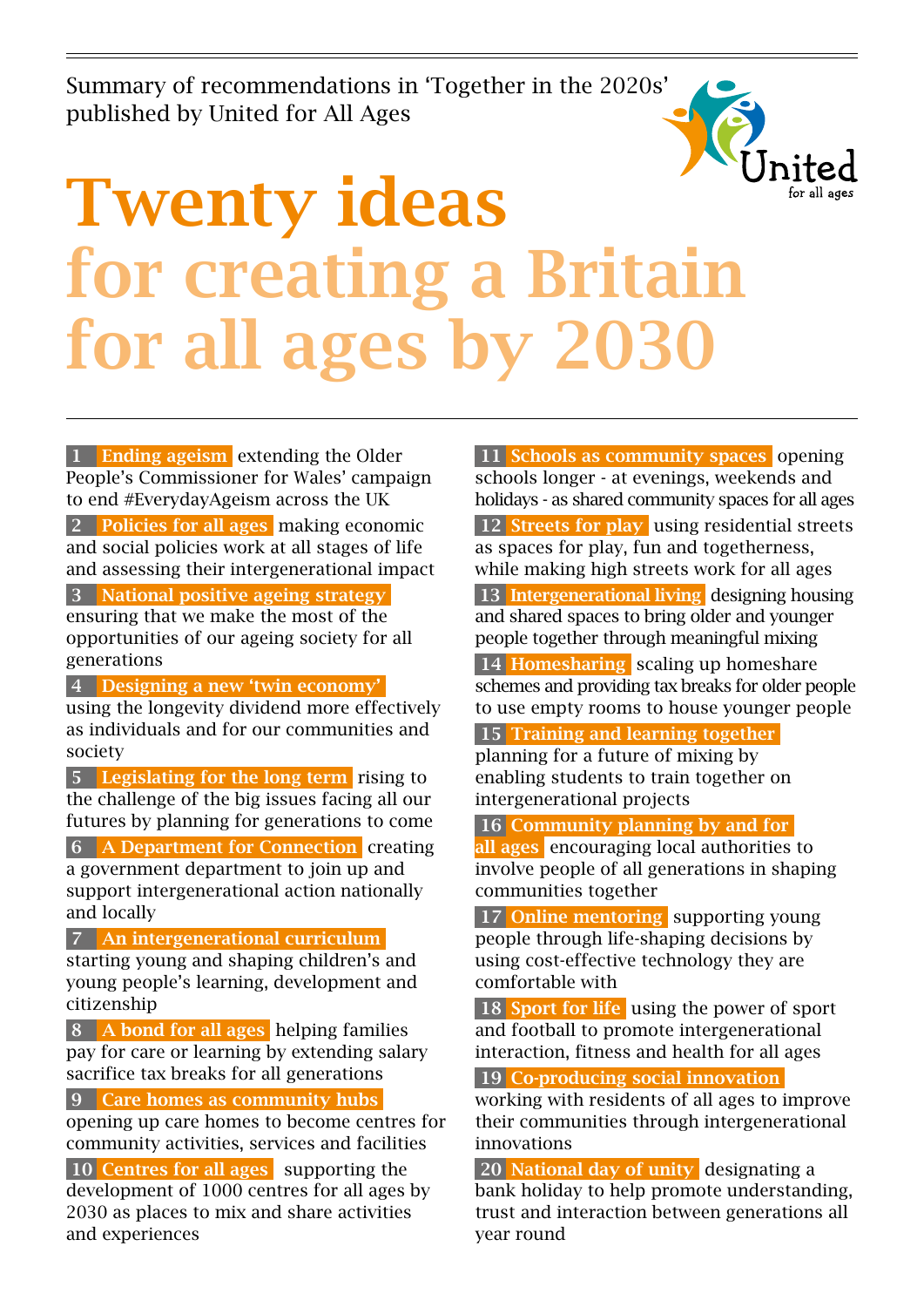Summary of recommendations in 'Together in the 2020s' published by United for All Ages

# Twenty ideas for creating a Britain for all ages by 2030

1 **Ending ageism** extending the Older People's Commissioner for Wales' campaign to end #EverydayAgeism across the UK

 2 Policies for all ages making economic and social policies work at all stages of life and assessing their intergenerational impact

### **3** National positive ageing strategy

ensuring that we make the most of the opportunities of our ageing society for all generations

## 4 Designing a new 'twin economy'

using the longevity dividend more effectively as individuals and for our communities and society

 5 Legislating for the long term rising to the challenge of the big issues facing all our futures by planning for generations to come

 6 A Department for Connection creating a government department to join up and support intergenerational action nationally and locally

### 7 An intergenerational curriculum

starting young and shaping children's and young people's learning, development and citizenship

 8 A bond for all ages helping families pay for care or learning by extending salary sacrifice tax breaks for all generations

### 9 Care homes as community hubs

opening up care homes to become centres for community activities, services and facilities

10 **Centres for all ages** supporting the development of 1000 centres for all ages by 2030 as places to mix and share activities and experiences

11 Schools as community spaces opening schools longer - at evenings, weekends and holidays - as shared community spaces for all ages

12 Streets for play using residential streets as spaces for play, fun and togetherness, while making high streets work for all ages

## 13 Intergenerational living designing housing

and shared spaces to bring older and younger people together through meaningful mixing

14 Homesharing scaling up homeshare schemes and providing tax breaks for older people to use empty rooms to house younger people

## 15 Training and learning together

planning for a future of mixing by enabling students to train together on intergenerational projects

## 16 Community planning by and for

all ages encouraging local authorities to involve people of all generations in shaping communities together

17 Online mentoring supporting young people through life-shaping decisions by using cost-effective technology they are comfortable with

18 **Sport for life** using the power of sport and football to promote intergenerational interaction, fitness and health for all ages

## 19 Co-producing social innovation

working with residents of all ages to improve their communities through intergenerational innovations

20 National day of unity designating a bank holiday to help promote understanding, trust and interaction between generations all year round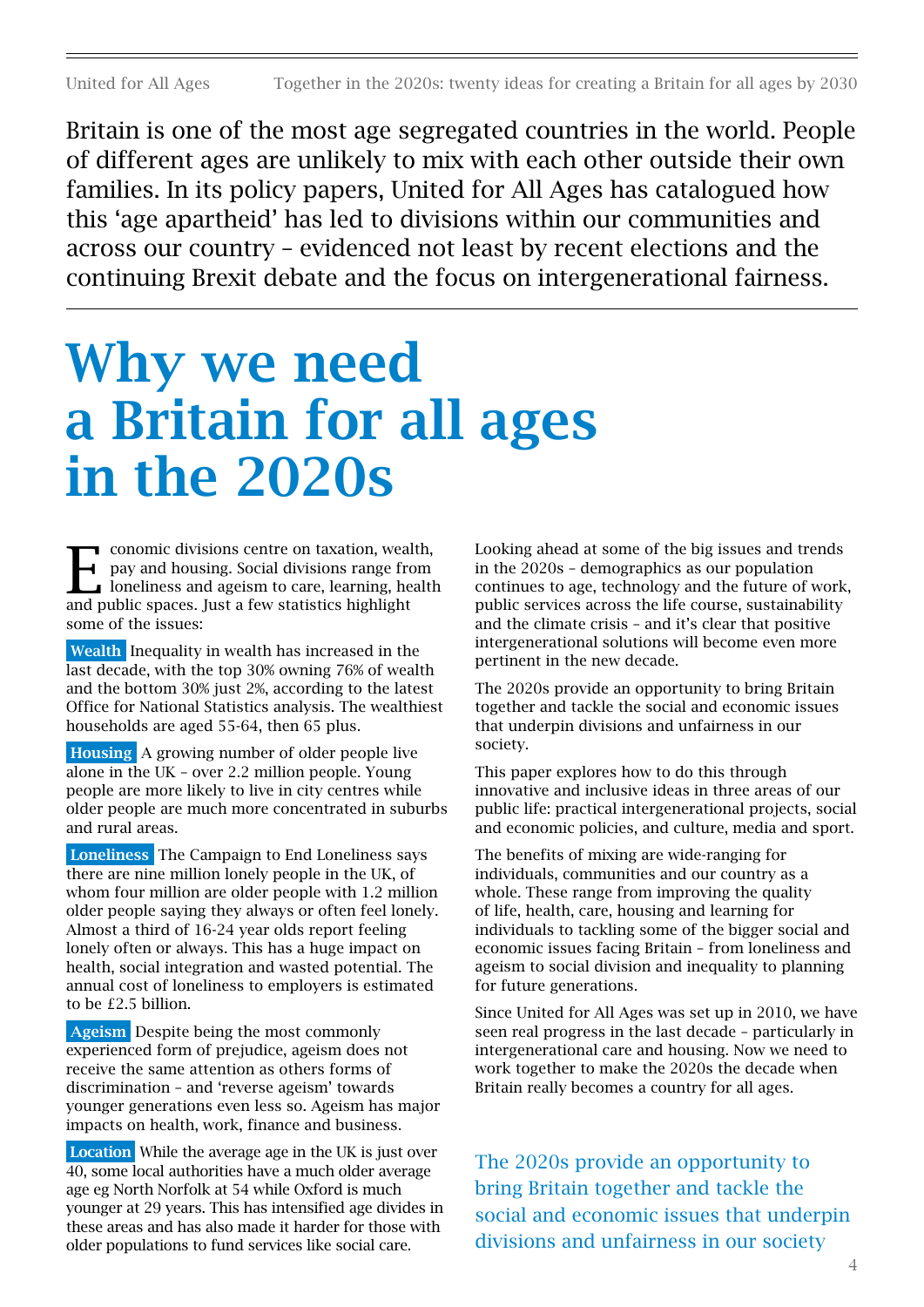Britain is one of the most age segregated countries in the world. People of different ages are unlikely to mix with each other outside their own families. In its policy papers, United for All Ages has catalogued how this 'age apartheid' has led to divisions within our communities and across our country – evidenced not least by recent elections and the continuing Brexit debate and the focus on intergenerational fairness.

# Why we need a Britain for all ages in the 2020s

**T** conomic divisions centre on taxation, wealth, pay and housing. Social divisions range from **I** loneliness and ageism to care, learning, health conomic divisions centre on taxation, weal<br>
pay and housing. Social divisions range from<br>
loneliness and ageism to care, learning, he<br>
and public spaces. Just a few statistics highlight some of the issues:

 Wealth Inequality in wealth has increased in the last decade, with the top 30% owning 76% of wealth and the bottom 30% just 2%, according to the latest Office for National Statistics analysis. The wealthiest households are aged 55-64, then 65 plus.

 Housing A growing number of older people live alone in the UK – over 2.2 million people. Young people are more likely to live in city centres while older people are much more concentrated in suburbs and rural areas.

 Loneliness The Campaign to End Loneliness says there are nine million lonely people in the UK, of whom four million are older people with 1.2 million older people saying they always or often feel lonely. Almost a third of 16-24 year olds report feeling lonely often or always. This has a huge impact on health, social integration and wasted potential. The annual cost of loneliness to employers is estimated to be £2.5 billion.

 Ageism Despite being the most commonly experienced form of prejudice, ageism does not receive the same attention as others forms of discrimination – and 'reverse ageism' towards younger generations even less so. Ageism has major impacts on health, work, finance and business.

 Location While the average age in the UK is just over 40, some local authorities have a much older average age eg North Norfolk at 54 while Oxford is much younger at 29 years. This has intensified age divides in these areas and has also made it harder for those with older populations to fund services like social care.

Looking ahead at some of the big issues and trends in the 2020s – demographics as our population continues to age, technology and the future of work, public services across the life course, sustainability and the climate crisis – and it's clear that positive intergenerational solutions will become even more pertinent in the new decade.

The 2020s provide an opportunity to bring Britain together and tackle the social and economic issues that underpin divisions and unfairness in our society.

This paper explores how to do this through innovative and inclusive ideas in three areas of our public life: practical intergenerational projects, social and economic policies, and culture, media and sport.

The benefits of mixing are wide-ranging for individuals, communities and our country as a whole. These range from improving the quality of life, health, care, housing and learning for individuals to tackling some of the bigger social and economic issues facing Britain – from loneliness and ageism to social division and inequality to planning for future generations.

Since United for All Ages was set up in 2010, we have seen real progress in the last decade – particularly in intergenerational care and housing. Now we need to work together to make the 2020s the decade when Britain really becomes a country for all ages.

The 2020s provide an opportunity to bring Britain together and tackle the social and economic issues that underpin divisions and unfairness in our society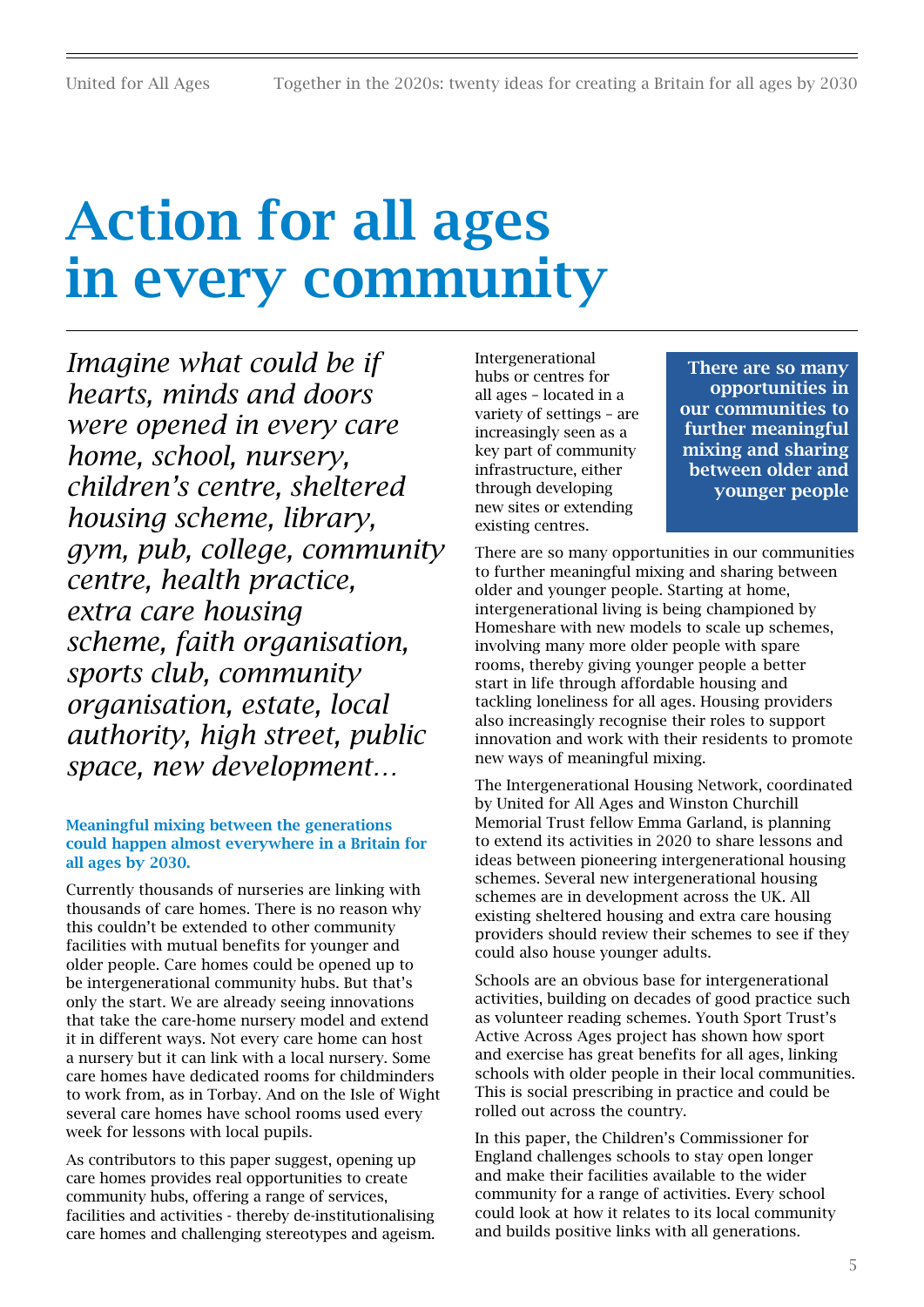# Action for all ages in every community

*Imagine what could be if hearts, minds and doors were opened in every care home, school, nursery, children's centre, sheltered housing scheme, library, gym, pub, college, community centre, health practice, extra care housing scheme, faith organisation, sports club, community organisation, estate, local authority, high street, public space, new development…*

#### Meaningful mixing between the generations could happen almost everywhere in a Britain for all ages by 2030.

Currently thousands of nurseries are linking with thousands of care homes. There is no reason why this couldn't be extended to other community facilities with mutual benefits for younger and older people. Care homes could be opened up to be intergenerational community hubs. But that's only the start. We are already seeing innovations that take the care-home nursery model and extend it in different ways. Not every care home can host a nursery but it can link with a local nursery. Some care homes have dedicated rooms for childminders to work from, as in Torbay. And on the Isle of Wight several care homes have school rooms used every week for lessons with local pupils.

As contributors to this paper suggest, opening up care homes provides real opportunities to create community hubs, offering a range of services, facilities and activities - thereby de-institutionalising care homes and challenging stereotypes and ageism. Intergenerational hubs or centres for all ages – located in a variety of settings – are increasingly seen as a key part of community infrastructure, either through developing new sites or extending existing centres.

There are so many opportunities in our communities to further meaningful mixing and sharing between older and younger people

There are so many opportunities in our communities to further meaningful mixing and sharing between older and younger people. Starting at home, intergenerational living is being championed by Homeshare with new models to scale up schemes, involving many more older people with spare rooms, thereby giving younger people a better start in life through affordable housing and tackling loneliness for all ages. Housing providers also increasingly recognise their roles to support innovation and work with their residents to promote new ways of meaningful mixing.

The Intergenerational Housing Network, coordinated by United for All Ages and Winston Churchill Memorial Trust fellow Emma Garland, is planning to extend its activities in 2020 to share lessons and ideas between pioneering intergenerational housing schemes. Several new intergenerational housing schemes are in development across the UK. All existing sheltered housing and extra care housing providers should review their schemes to see if they could also house younger adults.

Schools are an obvious base for intergenerational activities, building on decades of good practice such as volunteer reading schemes. Youth Sport Trust's Active Across Ages project has shown how sport and exercise has great benefits for all ages, linking schools with older people in their local communities. This is social prescribing in practice and could be rolled out across the country.

In this paper, the Children's Commissioner for England challenges schools to stay open longer and make their facilities available to the wider community for a range of activities. Every school could look at how it relates to its local community and builds positive links with all generations.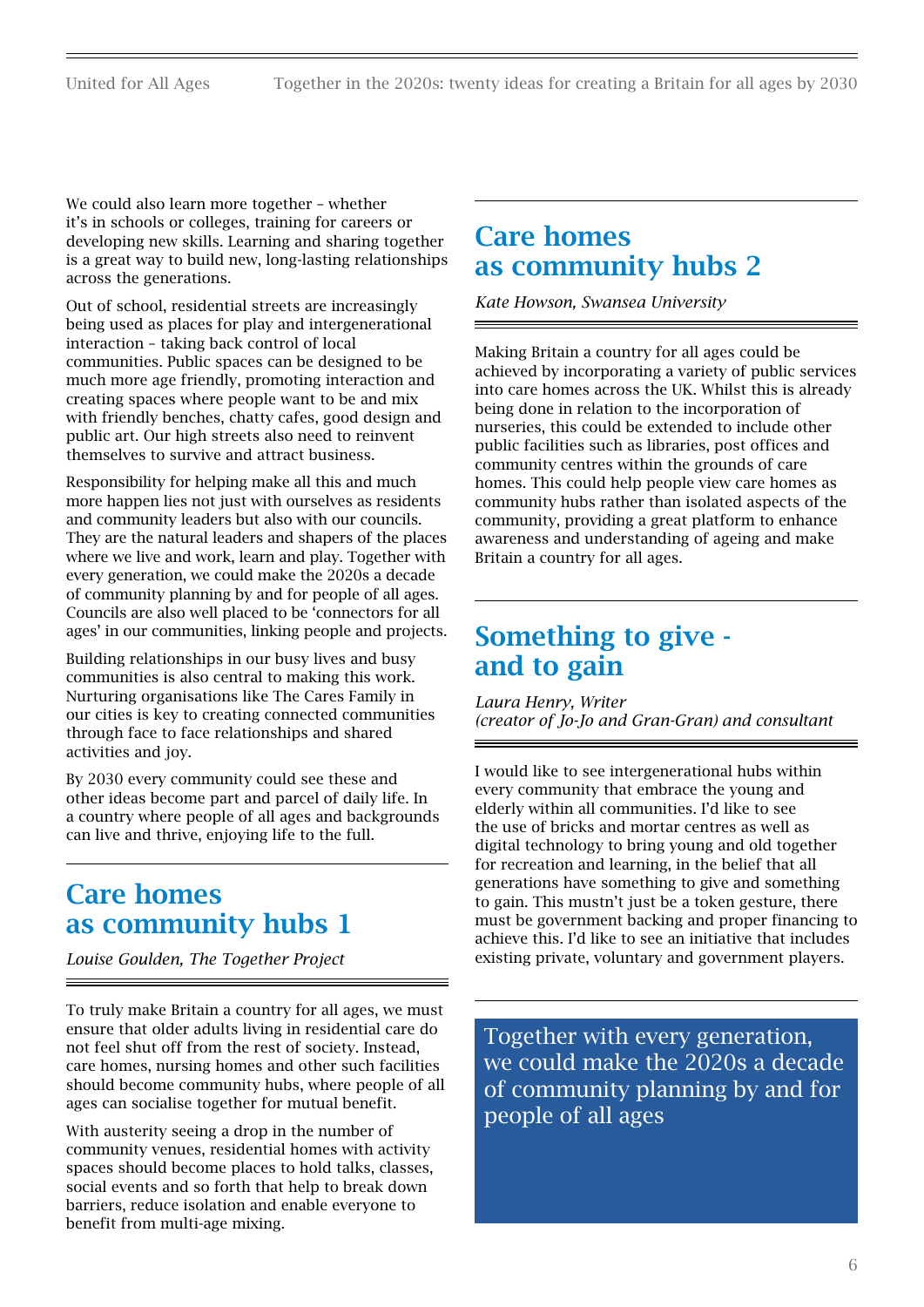We could also learn more together – whether it's in schools or colleges, training for careers or developing new skills. Learning and sharing together is a great way to build new, long-lasting relationships across the generations.

Out of school, residential streets are increasingly being used as places for play and intergenerational interaction – taking back control of local communities. Public spaces can be designed to be much more age friendly, promoting interaction and creating spaces where people want to be and mix with friendly benches, chatty cafes, good design and public art. Our high streets also need to reinvent themselves to survive and attract business.

Responsibility for helping make all this and much more happen lies not just with ourselves as residents and community leaders but also with our councils. They are the natural leaders and shapers of the places where we live and work, learn and play. Together with every generation, we could make the 2020s a decade of community planning by and for people of all ages. Councils are also well placed to be 'connectors for all ages' in our communities, linking people and projects.

Building relationships in our busy lives and busy communities is also central to making this work. Nurturing organisations like The Cares Family in our cities is key to creating connected communities through face to face relationships and shared activities and joy.

By 2030 every community could see these and other ideas become part and parcel of daily life. In a country where people of all ages and backgrounds can live and thrive, enjoying life to the full.

# Care homes as community hubs 1

*[Louise Goulden, The Together Project](https://www.thetogetherproject.co.uk/)*

To truly make Britain a country for all ages, we must ensure that older adults living in residential care do not feel shut off from the rest of society. Instead, care homes, nursing homes and other such facilities should become community hubs, where people of all ages can socialise together for mutual benefit.

With austerity seeing a drop in the number of community venues, residential homes with activity spaces should become places to hold talks, classes, social events and so forth that help to break down barriers, reduce isolation and enable everyone to benefit from multi-age mixing.

## Care homes as community hubs 2

*[Kate Howson, Swansea University](https://www.swansea.ac.uk/cia/phd-researchers-the-centre-for-innovative-ageing/kate-howson/)*

Making Britain a country for all ages could be achieved by incorporating a variety of public services into care homes across the UK. Whilst this is already being done in relation to the incorporation of nurseries, this could be extended to include other public facilities such as libraries, post offices and community centres within the grounds of care homes. This could help people view care homes as community hubs rather than isolated aspects of the community, providing a great platform to enhance awareness and understanding of ageing and make Britain a country for all ages.

## Something to give and to gain

*[Laura Henry, Writer](https://www.laurahenryconsultancy.com/)  [\(creator of Jo-Jo and Gran-Gran\) and consultant](https://www.laurahenryconsultancy.com/)* 

I would like to see intergenerational hubs within every community that embrace the young and elderly within all communities. I'd like to see the use of bricks and mortar centres as well as digital technology to bring young and old together for recreation and learning, in the belief that all generations have something to give and something to gain. This mustn't just be a token gesture, there must be government backing and proper financing to achieve this. I'd like to see an initiative that includes existing private, voluntary and government players.

Together with every generation, we could make the 2020s a decade of community planning by and for people of all ages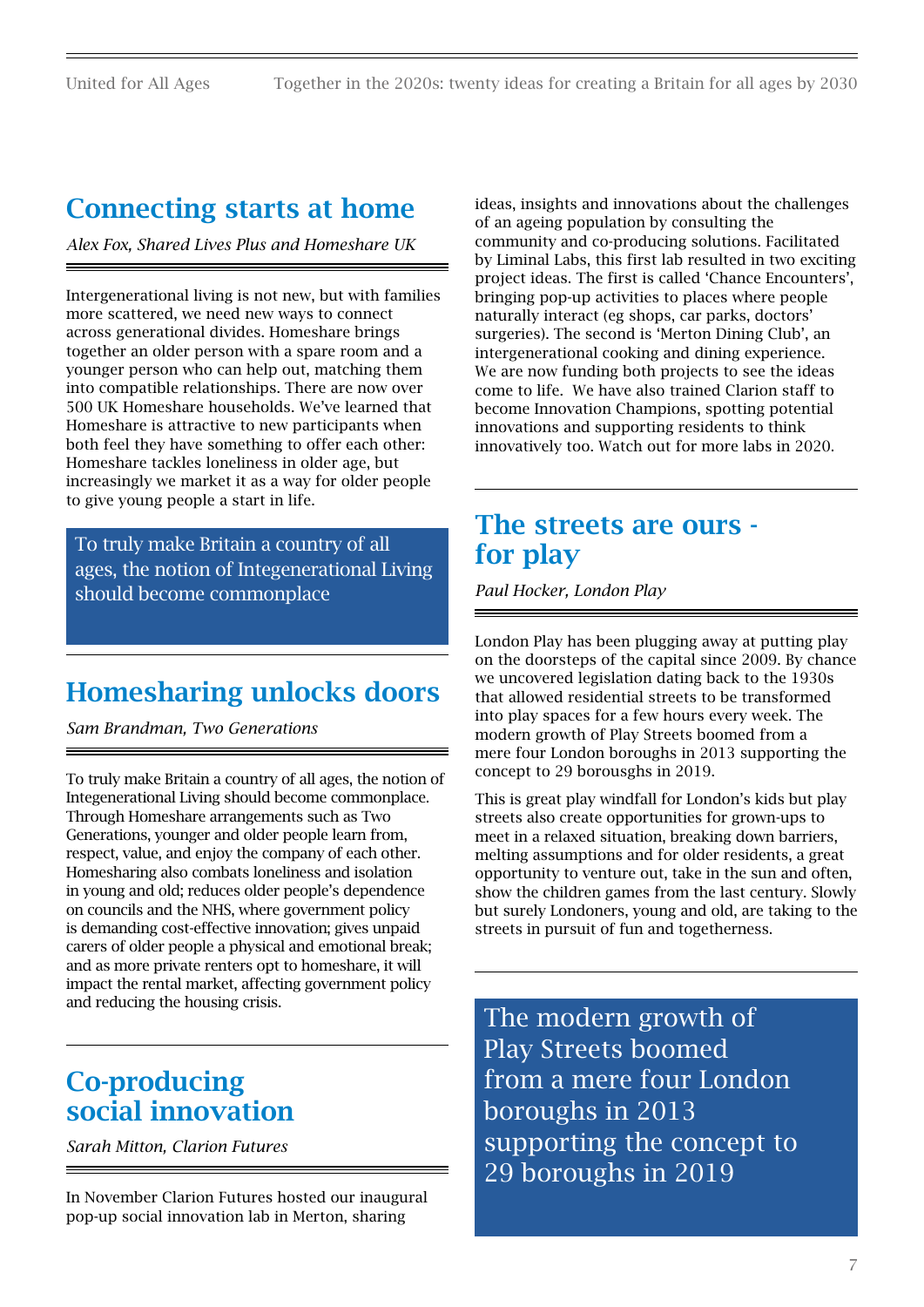# Connecting starts at home

*Alex Fox, [Shared Lives Plus](https://sharedlivesplus.org.uk/) and [Homeshare UK](https://homeshareuk.org/)*

Intergenerational living is not new, but with families more scattered, we need new ways to connect across generational divides. Homeshare brings together an older person with a spare room and a younger person who can help out, matching them into compatible relationships. There are now over 500 UK Homeshare households. We've learned that Homeshare is attractive to new participants when both feel they have something to offer each other: Homeshare tackles loneliness in older age, but increasingly we market it as a way for older people to give young people a start in life.

To truly make Britain a country of all ages, the notion of Integenerational Living should become commonplace

# Homesharing unlocks doors

*[Sam Brandman, Two Generations](https://twogenerations.co.uk/)*

To truly make Britain a country of all ages, the notion of Integenerational Living should become commonplace. Through Homeshare arrangements such as Two Generations, younger and older people learn from, respect, value, and enjoy the company of each other. Homesharing also combats loneliness and isolation in young and old; reduces older people's dependence on councils and the NHS, where government policy is demanding cost-effective innovation; gives unpaid carers of older people a physical and emotional break; and as more private renters opt to homeshare, it will impact the rental market, affecting government policy and reducing the housing crisis.

## Co-producing social innovation

*[Sarah Mitton, Clarion Futures](https://www.clarionhg.com/charitable-foundation/)*

In November Clarion Futures hosted our inaugural pop-up social innovation lab in Merton, sharing

ideas, insights and innovations about the challenges of an ageing population by consulting the community and co-producing solutions. Facilitated by Liminal Labs, this first lab resulted in two exciting project ideas. The first is called 'Chance Encounters', bringing pop-up activities to places where people naturally interact (eg shops, car parks, doctors' surgeries). The second is 'Merton Dining Club', an intergenerational cooking and dining experience. We are now funding both projects to see the ideas come to life. We have also trained Clarion staff to become Innovation Champions, spotting potential innovations and supporting residents to think innovatively too. Watch out for more labs in 2020.

## The streets are ours for play

*[Paul Hocker, London Play](https://www.londonplay.org.uk/)*

London Play has been plugging away at putting play on the doorsteps of the capital since 2009. By chance we uncovered legislation dating back to the 1930s that allowed residential streets to be transformed into play spaces for a few hours every week. The modern growth of Play Streets boomed from a mere four London boroughs in 2013 supporting the concept to 29 borousghs in 2019.

This is great play windfall for London's kids but play streets also create opportunities for grown-ups to meet in a relaxed situation, breaking down barriers, melting assumptions and for older residents, a great opportunity to venture out, take in the sun and often, show the children games from the last century. Slowly but surely Londoners, young and old, are taking to the streets in pursuit of fun and togetherness.

The modern growth of Play Streets boomed from a mere four London boroughs in 2013 supporting the concept to 29 boroughs in 2019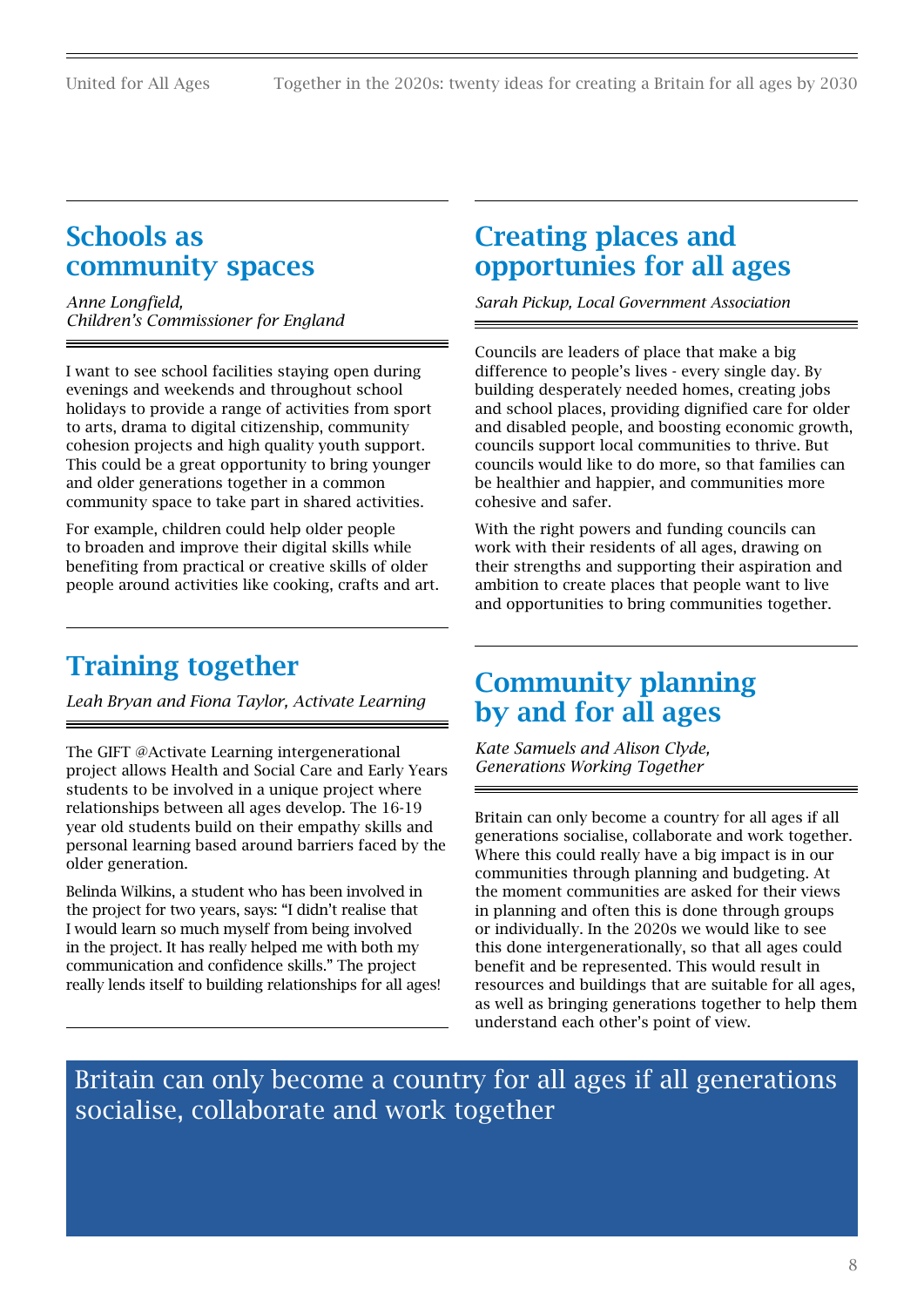## Schools as community spaces

*[Anne Longfield,](https://www.childrenscommissioner.gov.uk/)  [Children's Commissioner for England](https://www.childrenscommissioner.gov.uk/)*

I want to see school facilities staying open during evenings and weekends and throughout school holidays to provide a range of activities from sport to arts, drama to digital citizenship, community cohesion projects and high quality youth support. This could be a great opportunity to bring younger and older generations together in a common community space to take part in shared activities.

For example, children could help older people to broaden and improve their digital skills while benefiting from practical or creative skills of older people around activities like cooking, crafts and art.

# Training together

*[Leah Bryan and Fiona Taylor, Activate Learning](https://www.activatelearning.ac.uk/news/2019/jan/bbc-intergenerational-project-activate-learning)*

The GIFT @Activate Learning intergenerational project allows Health and Social Care and Early Years students to be involved in a unique project where relationships between all ages develop. The 16-19 year old students build on their empathy skills and personal learning based around barriers faced by the older generation.

Belinda Wilkins, a student who has been involved in the project for two years, says: "I didn't realise that I would learn so much myself from being involved in the project. It has really helped me with both my communication and confidence skills." The project really lends itself to building relationships for all ages!

# Creating places and opportunies for all ages

*[Sarah Pickup, Local Government Association](https://www.local.gov.uk/)* 

Councils are leaders of place that make a big difference to people's lives - every single day. By building desperately needed homes, creating jobs and school places, providing dignified care for older and disabled people, and boosting economic growth, councils support local communities to thrive. But councils would like to do more, so that families can be healthier and happier, and communities more cohesive and safer.

With the right powers and funding councils can work with their residents of all ages, drawing on their strengths and supporting their aspiration and ambition to create places that people want to live and opportunities to bring communities together.

## Community planning by and for all ages

*[Kate Samuels and Alison Clyde,](https://generationsworkingtogether.org/)  [Generations Working Together](https://generationsworkingtogether.org/)* 

Britain can only become a country for all ages if all generations socialise, collaborate and work together. Where this could really have a big impact is in our communities through planning and budgeting. At the moment communities are asked for their views in planning and often this is done through groups or individually. In the 2020s we would like to see this done intergenerationally, so that all ages could benefit and be represented. This would result in resources and buildings that are suitable for all ages, as well as bringing generations together to help them understand each other's point of view.

Britain can only become a country for all ages if all generations socialise, collaborate and work together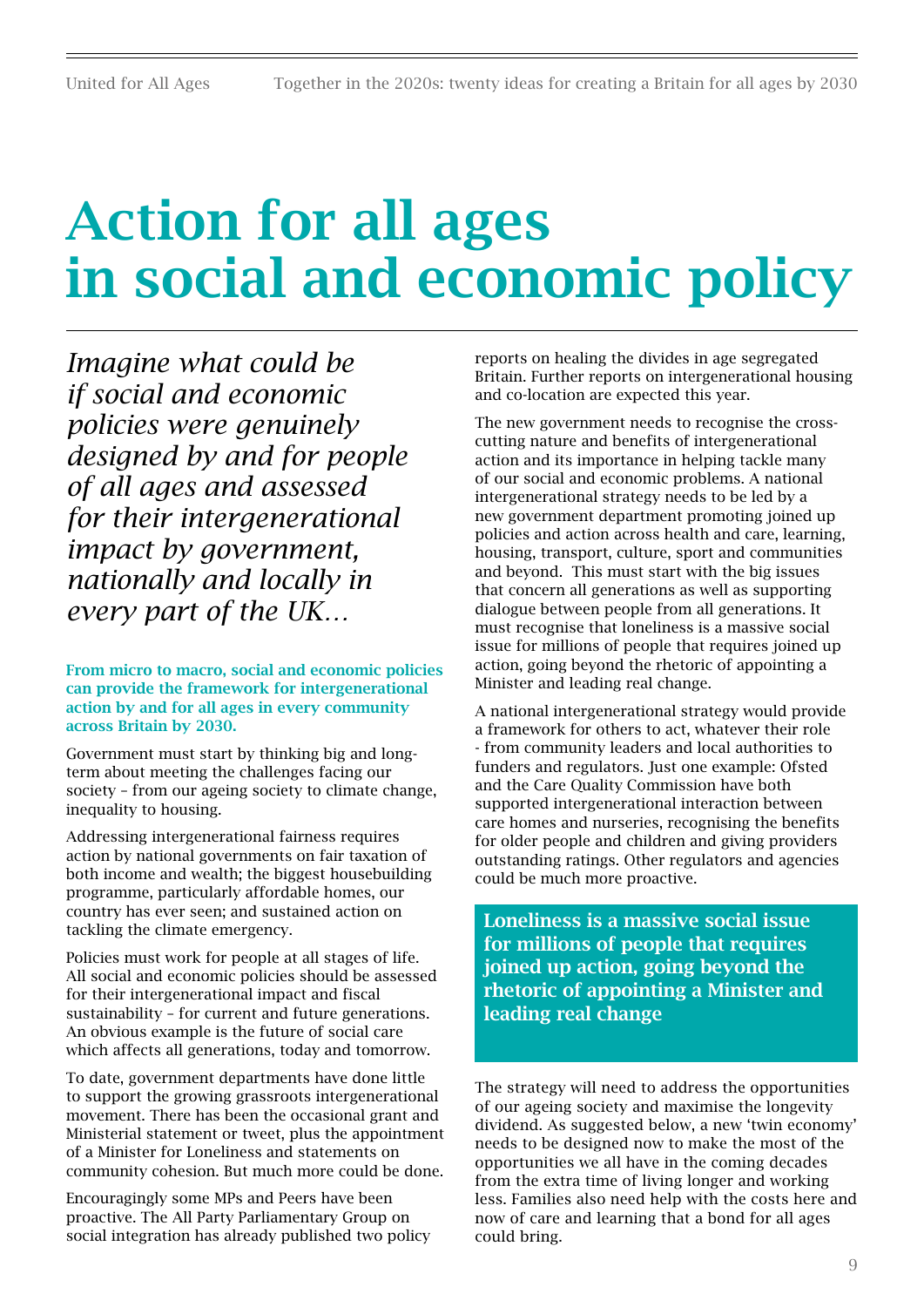# Action for all ages in social and economic policy

*Imagine what could be if social and economic policies were genuinely designed by and for people of all ages and assessed for their intergenerational impact by government, nationally and locally in every part of the UK…*

From micro to macro, social and economic policies can provide the framework for intergenerational action by and for all ages in every community across Britain by 2030.

Government must start by thinking big and longterm about meeting the challenges facing our society – from our ageing society to climate change, inequality to housing.

Addressing intergenerational fairness requires action by national governments on fair taxation of both income and wealth; the biggest housebuilding programme, particularly affordable homes, our country has ever seen; and sustained action on tackling the climate emergency.

Policies must work for people at all stages of life. All social and economic policies should be assessed for their intergenerational impact and fiscal sustainability – for current and future generations. An obvious example is the future of social care which affects all generations, today and tomorrow.

To date, government departments have done little to support the growing grassroots intergenerational movement. There has been the occasional grant and Ministerial statement or tweet, plus the appointment of a Minister for Loneliness and statements on community cohesion. But much more could be done.

Encouragingly some MPs and Peers have been proactive. The All Party Parliamentary Group on social integration has already published two policy reports on healing the divides in age segregated Britain. Further reports on intergenerational housing and co-location are expected this year.

The new government needs to recognise the crosscutting nature and benefits of intergenerational action and its importance in helping tackle many of our social and economic problems. A national intergenerational strategy needs to be led by a new government department promoting joined up policies and action across health and care, learning, housing, transport, culture, sport and communities and beyond. This must start with the big issues that concern all generations as well as supporting dialogue between people from all generations. It must recognise that loneliness is a massive social issue for millions of people that requires joined up action, going beyond the rhetoric of appointing a Minister and leading real change.

A national intergenerational strategy would provide a framework for others to act, whatever their role - from community leaders and local authorities to funders and regulators. Just one example: Ofsted and the Care Quality Commission have both supported intergenerational interaction between care homes and nurseries, recognising the benefits for older people and children and giving providers outstanding ratings. Other regulators and agencies could be much more proactive.

Loneliness is a massive social issue for millions of people that requires joined up action, going beyond the rhetoric of appointing a Minister and leading real change

The strategy will need to address the opportunities of our ageing society and maximise the longevity dividend. As suggested below, a new 'twin economy' needs to be designed now to make the most of the opportunities we all have in the coming decades from the extra time of living longer and working less. Families also need help with the costs here and now of care and learning that a bond for all ages could bring.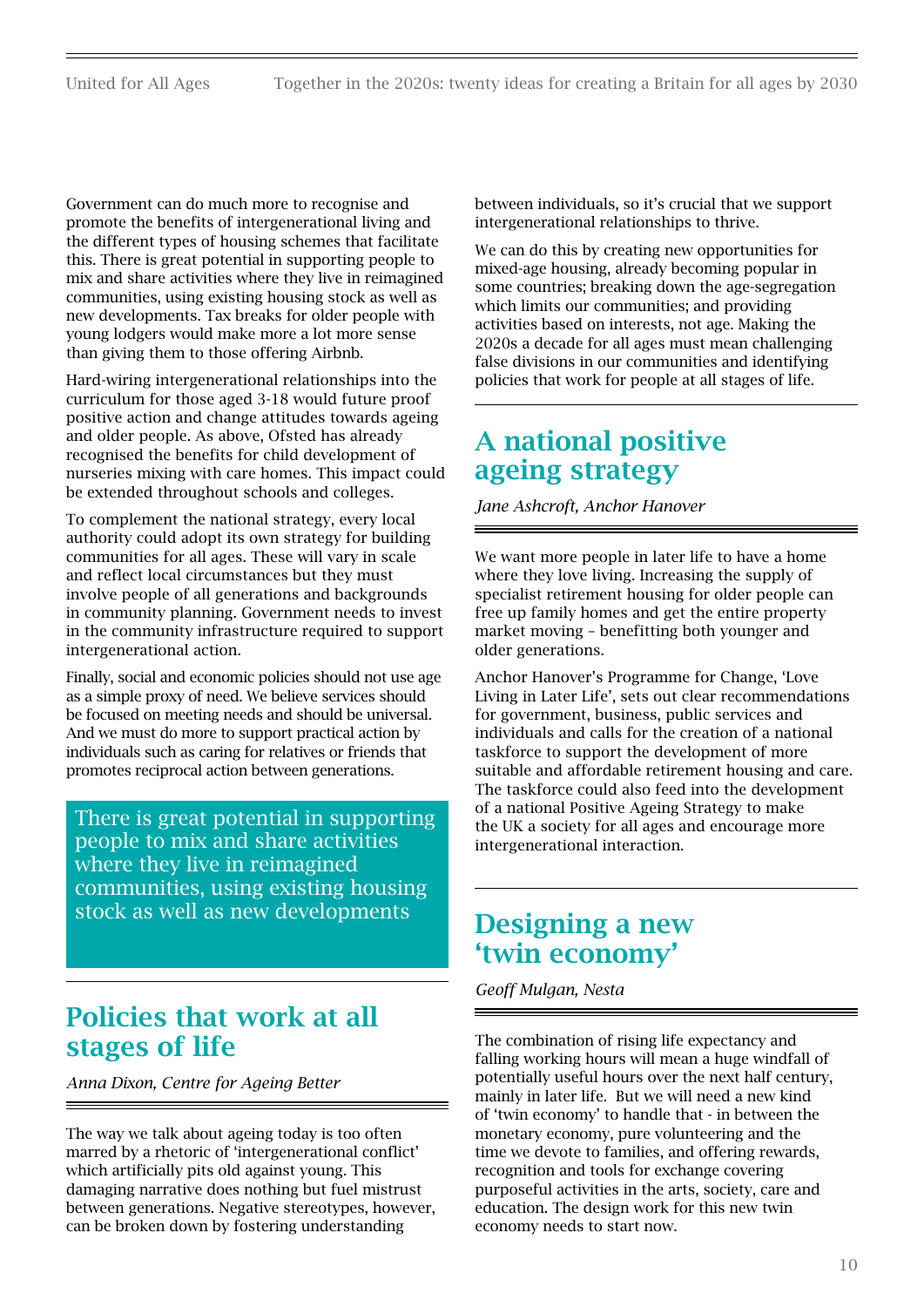Government can do much more to recognise and promote the benefits of intergenerational living and the different types of housing schemes that facilitate this. There is great potential in supporting people to mix and share activities where they live in reimagined communities, using existing housing stock as well as new developments. Tax breaks for older people with young lodgers would make more a lot more sense than giving them to those offering Airbnb.

Hard-wiring intergenerational relationships into the curriculum for those aged 3-18 would future proof positive action and change attitudes towards ageing and older people. As above, Ofsted has already recognised the benefits for child development of nurseries mixing with care homes. This impact could be extended throughout schools and colleges.

To complement the national strategy, every local authority could adopt its own strategy for building communities for all ages. These will vary in scale and reflect local circumstances but they must involve people of all generations and backgrounds in community planning. Government needs to invest in the community infrastructure required to support intergenerational action.

Finally, social and economic policies should not use age as a simple proxy of need. We believe services should be focused on meeting needs and should be universal. And we must do more to support practical action by individuals such as caring for relatives or friends that promotes reciprocal action between generations.

There is great potential in supporting people to mix and share activities where they live in reimagined communities, using existing housing stock as well as new developments

# Policies that work at all stages of life

*[Anna Dixon, Centre for Ageing Better](https://www.ageing-better.org.uk/)*

The way we talk about ageing today is too often marred by a rhetoric of 'intergenerational conflict' which artificially pits old against young. This damaging narrative does nothing but fuel mistrust between generations. Negative stereotypes, however, can be broken down by fostering understanding

between individuals, so it's crucial that we support intergenerational relationships to thrive.

We can do this by creating new opportunities for mixed-age housing, already becoming popular in some countries; breaking down the age-segregation which limits our communities; and providing activities based on interests, not age. Making the 2020s a decade for all ages must mean challenging false divisions in our communities and identifying policies that work for people at all stages of life.

# A national positive ageing strategy

*[Jane Ashcroft, Anchor Hanover](https://www.anchorhanover.org.uk/)*

We want more people in later life to have a home where they love living. Increasing the supply of specialist retirement housing for older people can free up family homes and get the entire property market moving – benefitting both younger and older generations.

Anchor Hanover's Programme for Change, 'Love Living in Later Life', sets out clear recommendations for government, business, public services and individuals and calls for the creation of a national taskforce to support the development of more suitable and affordable retirement housing and care. The taskforce could also feed into the development of a national Positive Ageing Strategy to make the UK a society for all ages and encourage more intergenerational interaction.

# Designing a new 'twin economy'

*[Geoff Mulgan, Nesta](https://www.nesta.org.uk)*

The combination of rising life expectancy and falling working hours will mean a huge windfall of potentially useful hours over the next half century, mainly in later life. But we will need a new kind of 'twin economy' to handle that - in between the monetary economy, pure volunteering and the time we devote to families, and offering rewards, recognition and tools for exchange covering purposeful activities in the arts, society, care and education. The design work for this new twin economy needs to start now.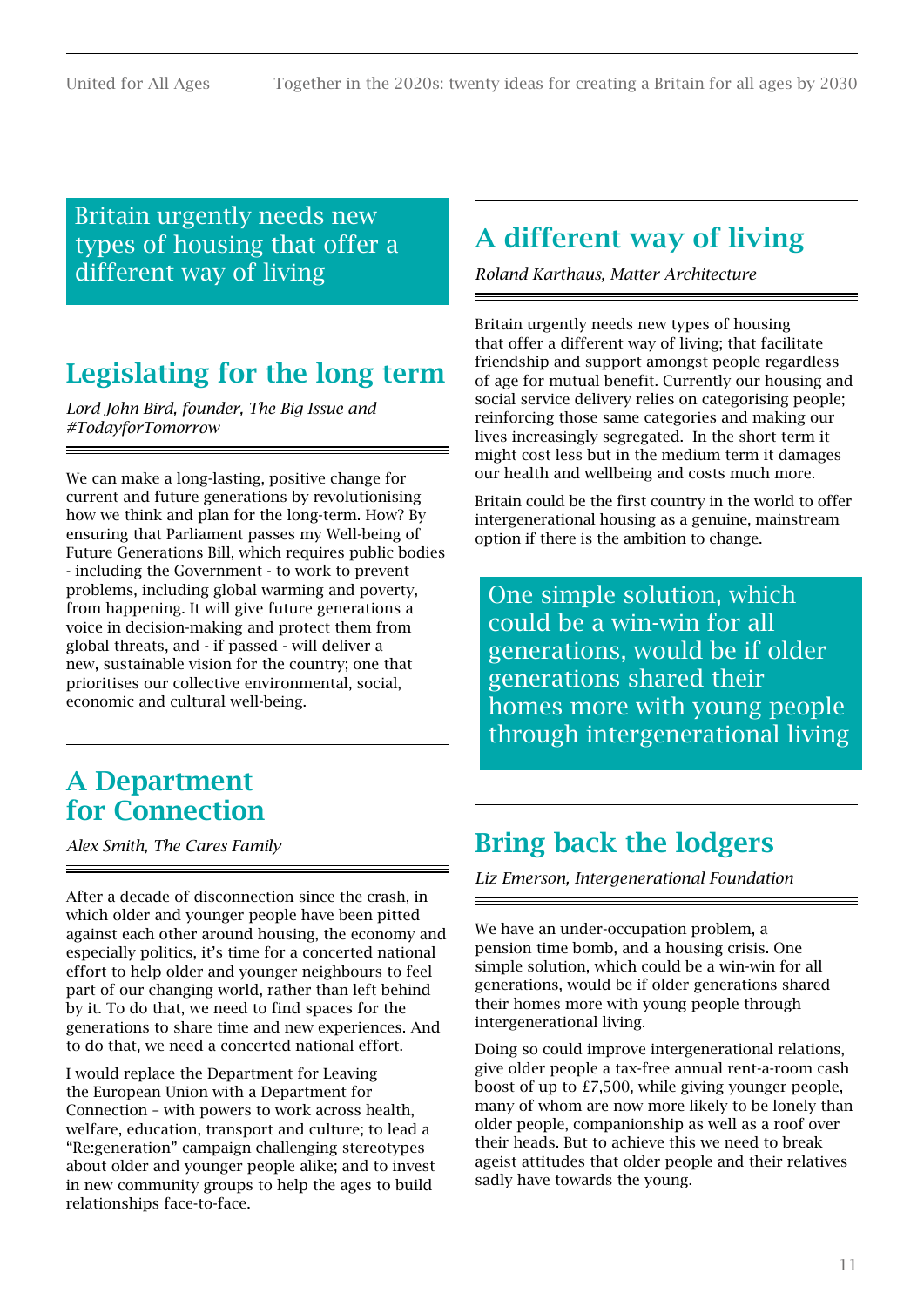## Britain urgently needs new types of housing that offer a different way of living

# Legislating for the long term

*Lord John Bird, founder, [The Big Issue](https://www.bigissue.com/latest/the-future-generations-bill-has-been-introduced-to-the-house-of-lords/) and [#TodayforTomorrow](http://todayfortomorrow.org.uk/)*

We can make a long-lasting, positive change for current and future generations by revolutionising how we think and plan for the long-term. How? By ensuring that Parliament passes my Well-being of Future Generations Bill, which requires public bodies - including the Government - to work to prevent problems, including global warming and poverty, from happening. It will give future generations a voice in decision-making and protect them from global threats, and - if passed - will deliver a new, sustainable vision for the country; one that prioritises our collective environmental, social, economic and cultural well-being.

# A Department for Connection

*[Alex Smith, The Cares Family](https://www.thecaresfamily.org.uk/)*

After a decade of disconnection since the crash, in which older and younger people have been pitted against each other around housing, the economy and especially politics, it's time for a concerted national effort to help older and younger neighbours to feel part of our changing world, rather than left behind by it. To do that, we need to find spaces for the generations to share time and new experiences. And to do that, we need a concerted national effort.

I would replace the Department for Leaving the European Union with a Department for Connection – with powers to work across health, welfare, education, transport and culture; to lead a "Re:generation" campaign challenging stereotypes about older and younger people alike; and to invest in new community groups to help the ages to build relationships face-to-face.

# A different way of living

*[Roland Karthaus, Matter Architecture](https://www.matterarchitecture.uk/)* 

Britain urgently needs new types of housing that offer a different way of living; that facilitate friendship and support amongst people regardless of age for mutual benefit. Currently our housing and social service delivery relies on categorising people; reinforcing those same categories and making our lives increasingly segregated. In the short term it might cost less but in the medium term it damages our health and wellbeing and costs much more.

Britain could be the first country in the world to offer intergenerational housing as a genuine, mainstream option if there is the ambition to change.

One simple solution, which could be a win-win for all generations, would be if older generations shared their homes more with young people through intergenerational living

# Bring back the lodgers

*[Liz Emerson, Intergenerational Foundation](http://www.if.org.uk/)*

We have an under-occupation problem, a pension time bomb, and a housing crisis. One simple solution, which could be a win-win for all generations, would be if older generations shared their homes more with young people through intergenerational living.

Doing so could improve intergenerational relations, give older people a tax-free annual rent-a-room cash boost of up to £7,500, while giving younger people, many of whom are now more likely to be lonely than older people, companionship as well as a roof over their heads. But to achieve this we need to break ageist attitudes that older people and their relatives sadly have towards the young.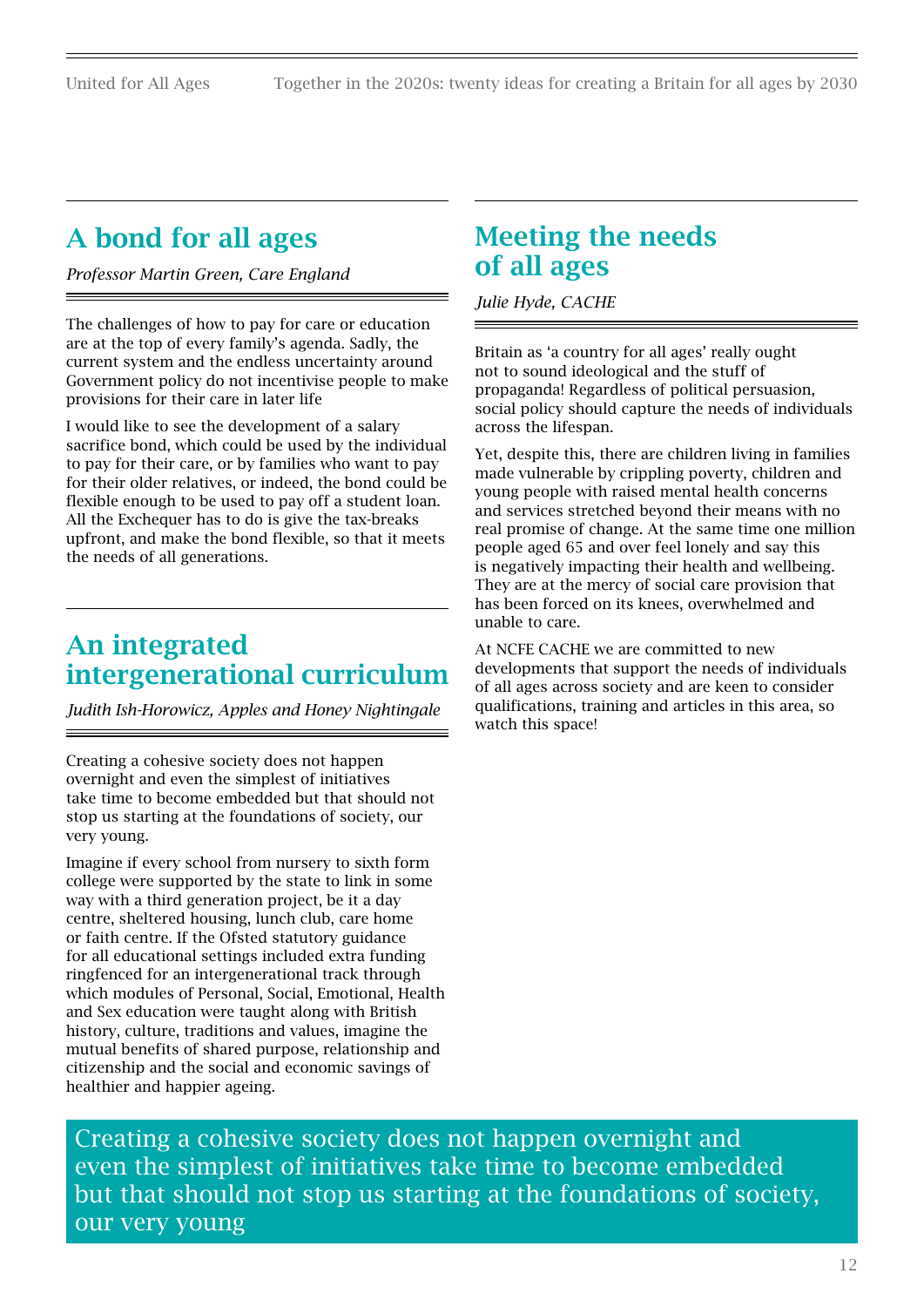# A bond for all ages

*[Professor Martin Green, Care England](http://www.careengland.org.uk/)*

The challenges of how to pay for care or education are at the top of every family's agenda. Sadly, the current system and the endless uncertainty around Government policy do not incentivise people to make provisions for their care in later life

I would like to see the development of a salary sacrifice bond, which could be used by the individual to pay for their care, or by families who want to pay for their older relatives, or indeed, the bond could be flexible enough to be used to pay off a student loan. All the Exchequer has to do is give the tax-breaks upfront, and make the bond flexible, so that it meets the needs of all generations.

# An integrated intergenerational curriculum

*[Judith Ish-Horowicz, Apples and Honey Nightingale](https://www.applesandhoneynightingale.com/)*

Creating a cohesive society does not happen overnight and even the simplest of initiatives take time to become embedded but that should not stop us starting at the foundations of society, our very young.

Imagine if every school from nursery to sixth form college were supported by the state to link in some way with a third generation project, be it a day centre, sheltered housing, lunch club, care home or faith centre. If the Ofsted statutory guidance for all educational settings included extra funding ringfenced for an intergenerational track through which modules of Personal, Social, Emotional, Health and Sex education were taught along with British history, culture, traditions and values, imagine the mutual benefits of shared purpose, relationship and citizenship and the social and economic savings of healthier and happier ageing.

# Meeting the needs of all ages

*[Julie Hyde, CACHE](https://www.cache.org.uk/)*

Britain as 'a country for all ages' really ought not to sound ideological and the stuff of propaganda! Regardless of political persuasion, social policy should capture the needs of individuals across the lifespan.

Yet, despite this, there are children living in families made vulnerable by crippling poverty, children and young people with raised mental health concerns and services stretched beyond their means with no real promise of change. At the same time one million people aged 65 and over feel lonely and say this is negatively impacting their health and wellbeing. They are at the mercy of social care provision that has been forced on its knees, overwhelmed and unable to care.

At NCFE CACHE we are committed to new developments that support the needs of individuals of all ages across society and are keen to consider qualifications, training and articles in this area, so watch this space!

Creating a cohesive society does not happen overnight and even the simplest of initiatives take time to become embedded but that should not stop us starting at the foundations of society, our very young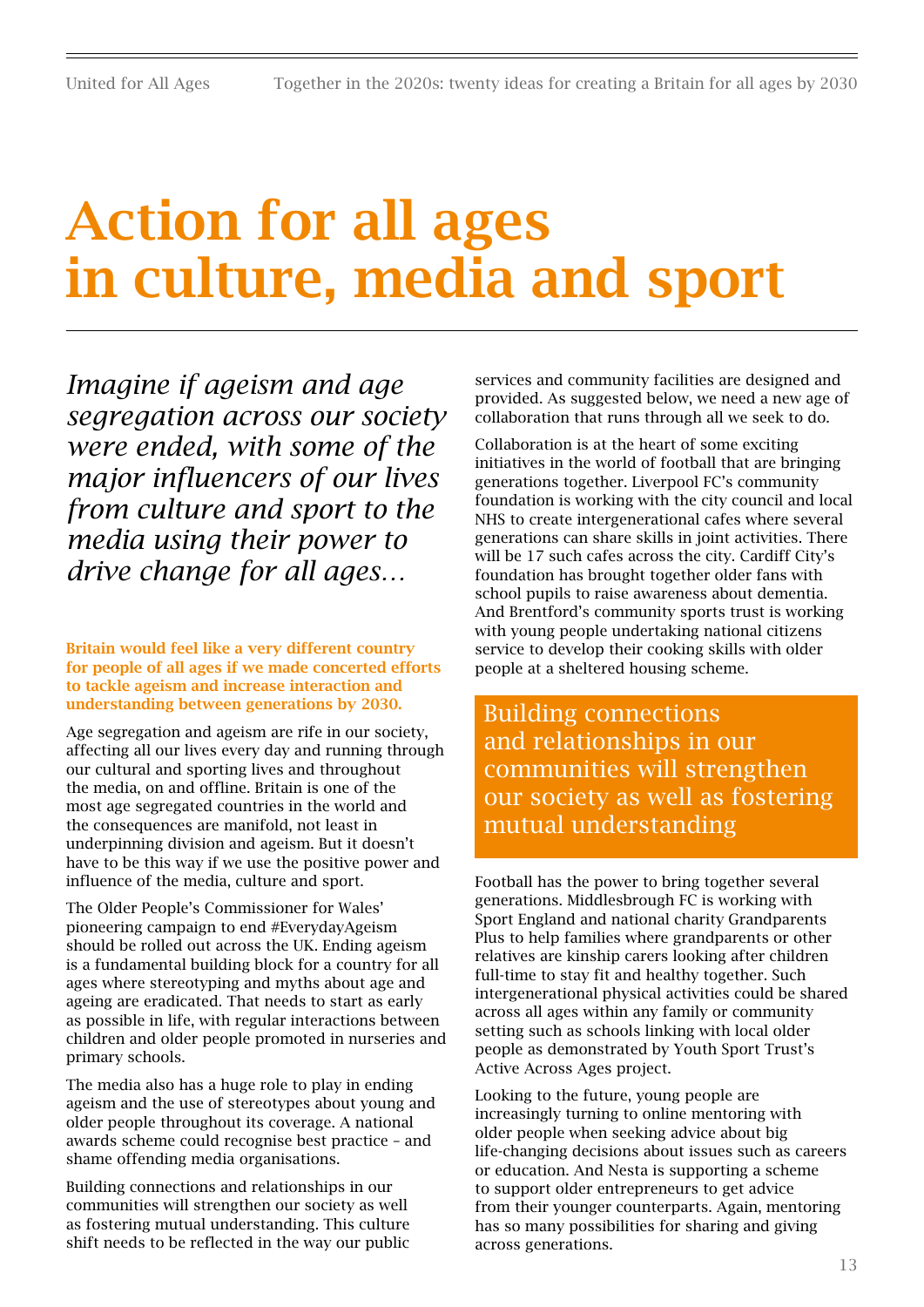# Action for all ages in culture, media and sport

*Imagine if ageism and age segregation across our society were ended, with some of the major influencers of our lives from culture and sport to the media using their power to drive change for all ages…*

Britain would feel like a very different country for people of all ages if we made concerted efforts to tackle ageism and increase interaction and understanding between generations by 2030.

Age segregation and ageism are rife in our society, affecting all our lives every day and running through our cultural and sporting lives and throughout the media, on and offline. Britain is one of the most age segregated countries in the world and the consequences are manifold, not least in underpinning division and ageism. But it doesn't have to be this way if we use the positive power and influence of the media, culture and sport.

The Older People's Commissioner for Wales' pioneering campaign to end #EverydayAgeism should be rolled out across the UK. Ending ageism is a fundamental building block for a country for all ages where stereotyping and myths about age and ageing are eradicated. That needs to start as early as possible in life, with regular interactions between children and older people promoted in nurseries and primary schools.

The media also has a huge role to play in ending ageism and the use of stereotypes about young and older people throughout its coverage. A national awards scheme could recognise best practice – and shame offending media organisations.

Building connections and relationships in our communities will strengthen our society as well as fostering mutual understanding. This culture shift needs to be reflected in the way our public

services and community facilities are designed and provided. As suggested below, we need a new age of collaboration that runs through all we seek to do.

Collaboration is at the heart of some exciting initiatives in the world of football that are bringing generations together. Liverpool FC's community foundation is working with the city council and local NHS to create intergenerational cafes where several generations can share skills in joint activities. There will be 17 such cafes across the city. Cardiff City's foundation has brought together older fans with school pupils to raise awareness about dementia. And Brentford's community sports trust is working with young people undertaking national citizens service to develop their cooking skills with older people at a sheltered housing scheme.

Building connections and relationships in our communities will strengthen our society as well as fostering mutual understanding

Football has the power to bring together several generations. Middlesbrough FC is working with Sport England and national charity Grandparents Plus to help families where grandparents or other relatives are kinship carers looking after children full-time to stay fit and healthy together. Such intergenerational physical activities could be shared across all ages within any family or community setting such as schools linking with local older people as demonstrated by Youth Sport Trust's Active Across Ages project.

Looking to the future, young people are increasingly turning to online mentoring with older people when seeking advice about big life-changing decisions about issues such as careers or education. And Nesta is supporting a scheme to support older entrepreneurs to get advice from their younger counterparts. Again, mentoring has so many possibilities for sharing and giving across generations.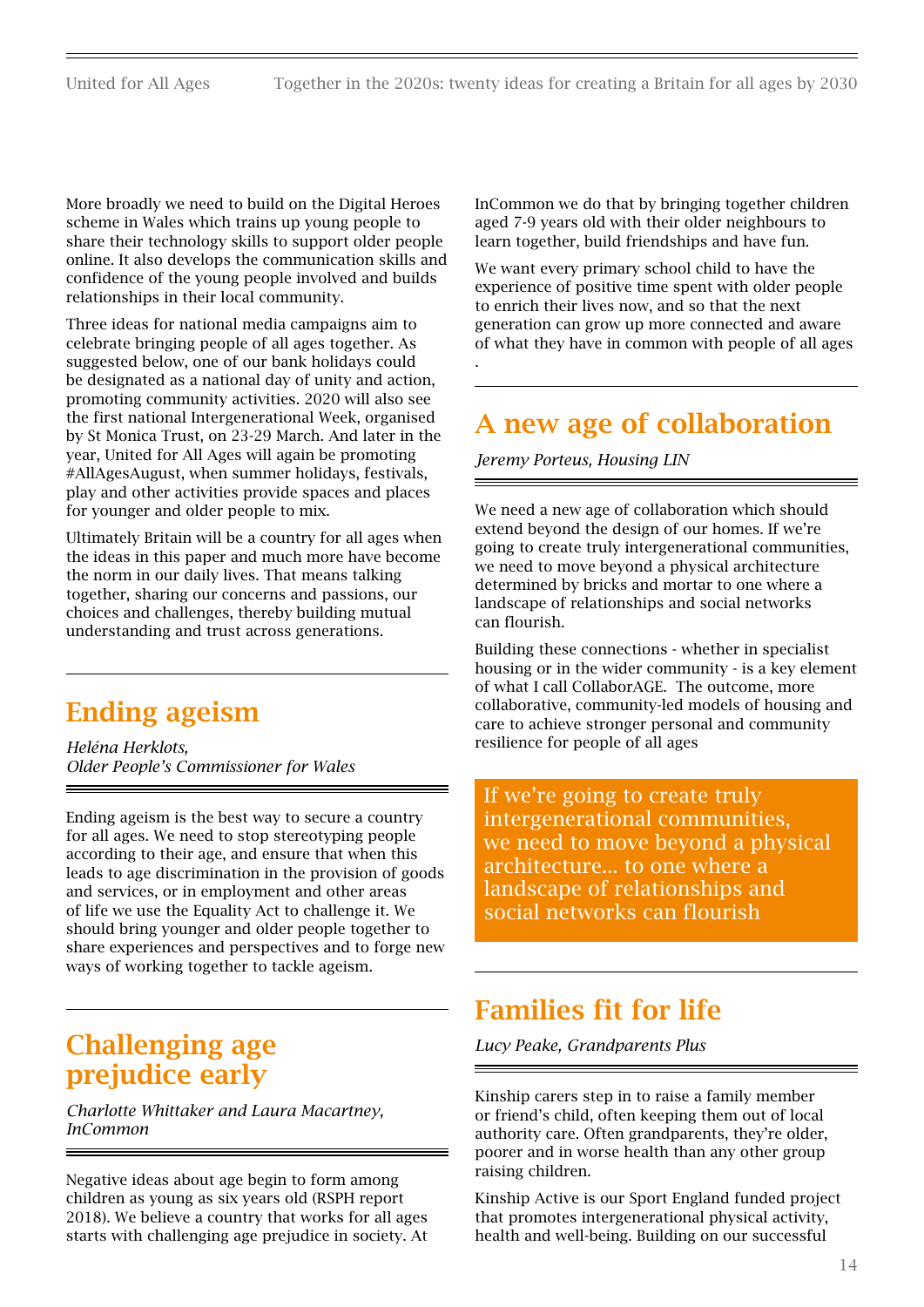More broadly we need to build on the Digital Heroes scheme in Wales which trains up young people to share their technology skills to support older people online. It also develops the communication skills and confidence of the young people involved and builds relationships in their local community.

Three ideas for national media campaigns aim to celebrate bringing people of all ages together. As suggested below, one of our bank holidays could be designated as a national day of unity and action, promoting community activities. 2020 will also see the first national Intergenerational Week, organised by St Monica Trust, on 23-29 March. And later in the year, United for All Ages will again be promoting #AllAgesAugust, when summer holidays, festivals, play and other activities provide spaces and places for younger and older people to mix.

Ultimately Britain will be a country for all ages when the ideas in this paper and much more have become the norm in our daily lives. That means talking together, sharing our concerns and passions, our choices and challenges, thereby building mutual understanding and trust across generations.

# Ending ageism

*[Heléna Herklots,](http://www.olderpeoplewales.com/en/home.aspx)  [Older People's Commissioner for Wales](http://www.olderpeoplewales.com/en/home.aspx)*

Ending ageism is the best way to secure a country for all ages. We need to stop stereotyping people according to their age, and ensure that when this leads to age discrimination in the provision of goods and services, or in employment and other areas of life we use the Equality Act to challenge it. We should bring younger and older people together to share experiences and perspectives and to forge new ways of working together to tackle ageism.

# Challenging age prejudice early

*[Charlotte Whittaker and Laura Macartney,](http://incommonliving.com/)  [InCommon](http://incommonliving.com/)*

Negative ideas about age begin to form among children as young as six years old (RSPH report 2018). We believe a country that works for all ages starts with challenging age prejudice in society. At InCommon we do that by bringing together children aged 7-9 years old with their older neighbours to learn together, build friendships and have fun.

We want every primary school child to have the experience of positive time spent with older people to enrich their lives now, and so that the next generation can grow up more connected and aware of what they have in common with people of all ages

# A new age of collaboration

*[Jeremy Porteus, Housing LIN](https://www.housinglin.org.uk/)*

.

We need a new age of collaboration which should extend beyond the design of our homes. If we're going to create truly intergenerational communities, we need to move beyond a physical architecture determined by bricks and mortar to one where a landscape of relationships and social networks can flourish.

Building these connections - whether in specialist housing or in the wider community - is a key element of what I call CollaborAGE. The outcome, more collaborative, community-led models of housing and care to achieve stronger personal and community resilience for people of all ages

If we're going to create truly intergenerational communities, we need to move beyond a physical architecture... to one where a landscape of relationships and social networks can flourish

# Families fit for life

*[Lucy Peake, Grandparents Plus](https://www.grandparentsplus.org.uk/)*

Kinship carers step in to raise a family member or friend's child, often keeping them out of local authority care. Often grandparents, they're older, poorer and in worse health than any other group raising children.

Kinship Active is our Sport England funded project that promotes intergenerational physical activity, health and well-being. Building on our successful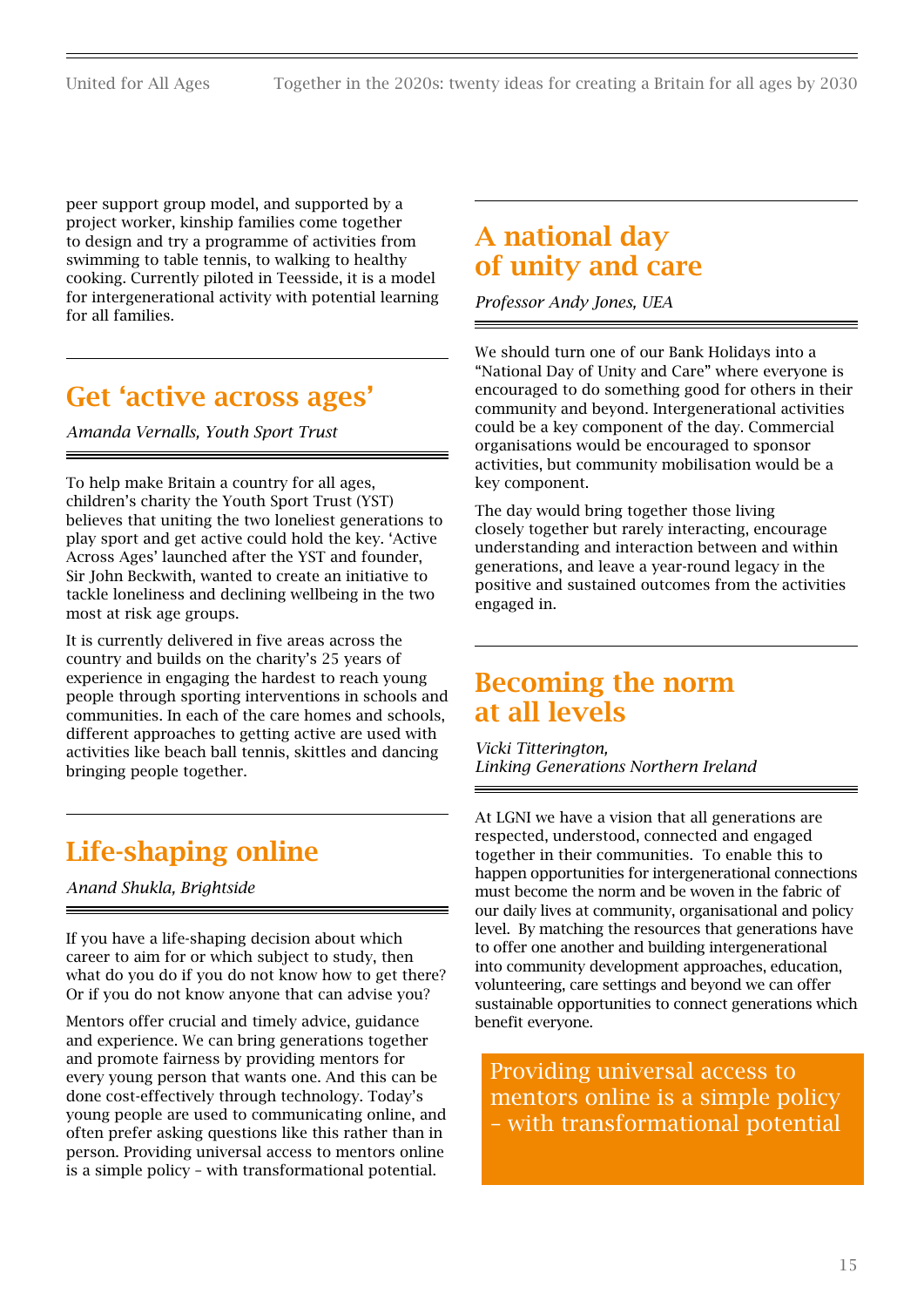peer support group model, and supported by a project worker, kinship families come together to design and try a programme of activities from swimming to table tennis, to walking to healthy cooking. Currently piloted in Teesside, it is a model for intergenerational activity with potential learning for all families.

# Get 'active across ages'

*[Amanda Vernalls, Youth Sport Trust](https://www.youthsporttrust.org/active-across-ages)*

To help make Britain a country for all ages, children's charity the Youth Sport Trust (YST) believes that uniting the two loneliest generations to play sport and get active could hold the key. 'Active Across Ages' launched after the YST and founder, Sir John Beckwith, wanted to create an initiative to tackle loneliness and declining wellbeing in the two most at risk age groups.

It is currently delivered in five areas across the country and builds on the charity's 25 years of experience in engaging the hardest to reach young people through sporting interventions in schools and communities. In each of the care homes and schools, different approaches to getting active are used with activities like beach ball tennis, skittles and dancing bringing people together.

# Life-shaping online

*[Anand Shukla, Brightside](https://brightside.org.uk/)*

If you have a life-shaping decision about which career to aim for or which subject to study, then what do you do if you do not know how to get there? Or if you do not know anyone that can advise you?

Mentors offer crucial and timely advice, guidance and experience. We can bring generations together and promote fairness by providing mentors for every young person that wants one. And this can be done cost-effectively through technology. Today's young people are used to communicating online, and often prefer asking questions like this rather than in person. Providing universal access to mentors online is a simple policy – with transformational potential.

## A national day of unity and care

*[Professor Andy Jones, UEA](https://people.uea.ac.uk/a_p_jones)*

We should turn one of our Bank Holidays into a "National Day of Unity and Care" where everyone is encouraged to do something good for others in their community and beyond. Intergenerational activities could be a key component of the day. Commercial organisations would be encouraged to sponsor activities, but community mobilisation would be a key component.

The day would bring together those living closely together but rarely interacting, encourage understanding and interaction between and within generations, and leave a year-round legacy in the positive and sustained outcomes from the activities engaged in.

## Becoming the norm at all levels

*[Vicki Titterington,](https://linkinggenerationsni.com/)  [Linking Generations Northern Ireland](https://linkinggenerationsni.com/)*

At LGNI we have a vision that all generations are respected, understood, connected and engaged together in their communities. To enable this to happen opportunities for intergenerational connections must become the norm and be woven in the fabric of our daily lives at community, organisational and policy level. By matching the resources that generations have to offer one another and building intergenerational into community development approaches, education, volunteering, care settings and beyond we can offer sustainable opportunities to connect generations which benefit everyone.

Providing universal access to mentors online is a simple policy – with transformational potential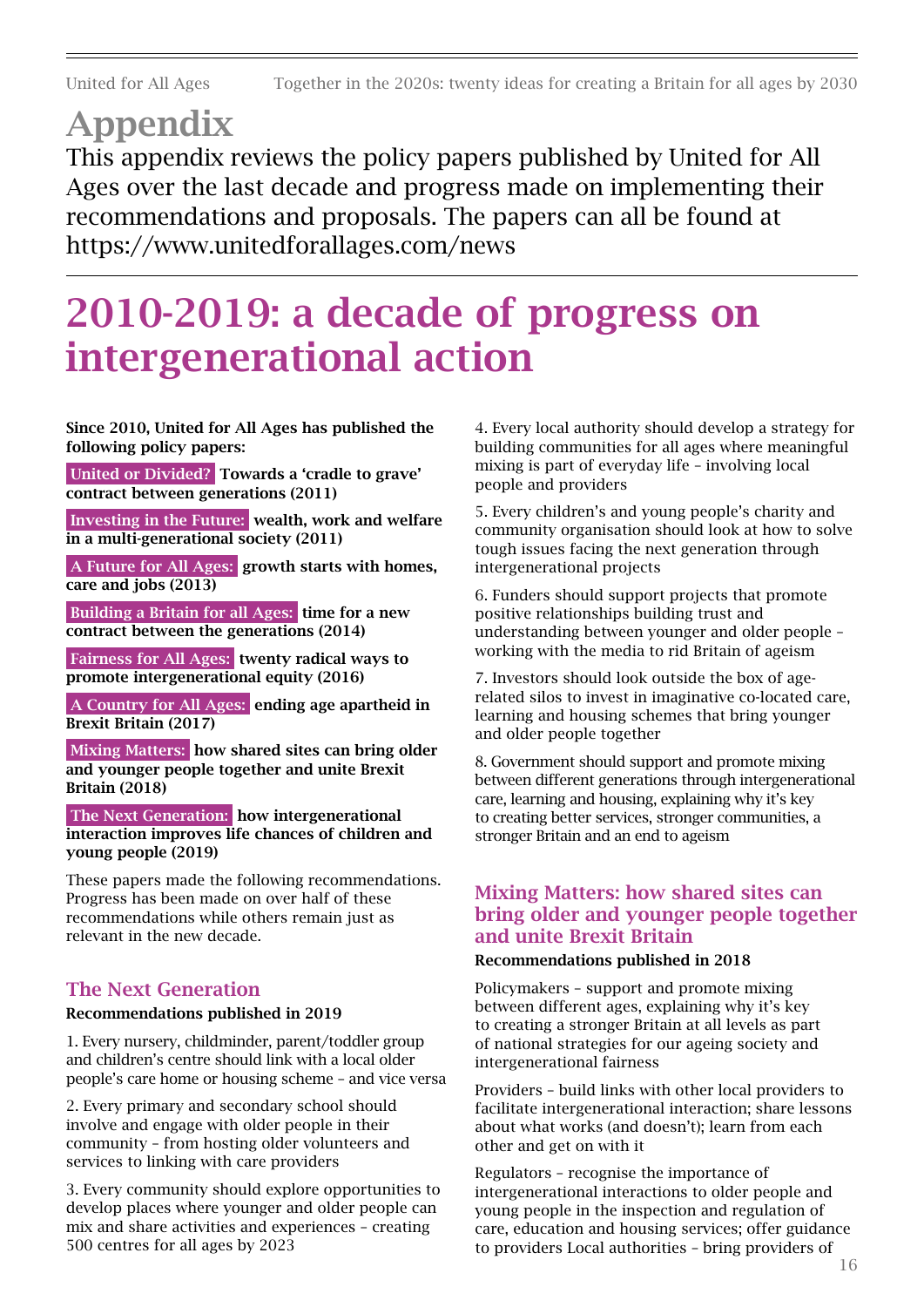Appendix This appendix reviews the policy papers published by United for All Ages over the last decade and progress made on implementing their recommendations and proposals. The papers can all be found at <https://www.unitedforallages.com/news>

# 2010-2019: a decade of progress on intergenerational action

Since 2010, United for All Ages has published the following policy papers:

 United or Divided? Towards a 'cradle to grave' contract between generations (2011)

 Investing in the Future: wealth, work and welfare in a multi-generational society (2011)

 A Future for All Ages: growth starts with homes, care and jobs (2013)

Building a Britain for all Ages: time for a new contract between the generations (2014)

 Fairness for All Ages: twenty radical ways to promote intergenerational equity (2016)

 A Country for All Ages: ending age apartheid in Brexit Britain (2017)

 Mixing Matters: how shared sites can bring older and younger people together and unite Brexit Britain (2018)

 The Next Generation: how intergenerational interaction improves life chances of children and young people (2019)

These papers made the following recommendations. Progress has been made on over half of these recommendations while others remain just as relevant in the new decade.

## The Next Generation

### Recommendations published in 2019

1. Every nursery, childminder, parent/toddler group and children's centre should link with a local older people's care home or housing scheme – and vice versa

2. Every primary and secondary school should involve and engage with older people in their community – from hosting older volunteers and services to linking with care providers

3. Every community should explore opportunities to develop places where younger and older people can mix and share activities and experiences – creating 500 centres for all ages by 2023

4. Every local authority should develop a strategy for building communities for all ages where meaningful mixing is part of everyday life – involving local people and providers

5. Every children's and young people's charity and community organisation should look at how to solve tough issues facing the next generation through intergenerational projects

6. Funders should support projects that promote positive relationships building trust and understanding between younger and older people – working with the media to rid Britain of ageism

7. Investors should look outside the box of agerelated silos to invest in imaginative co-located care, learning and housing schemes that bring younger and older people together

8. Government should support and promote mixing between different generations through intergenerational care, learning and housing, explaining why it's key to creating better services, stronger communities, a stronger Britain and an end to ageism

## Mixing Matters: how shared sites can bring older and younger people together and unite Brexit Britain

### Recommendations published in 2018

Policymakers – support and promote mixing between different ages, explaining why it's key to creating a stronger Britain at all levels as part of national strategies for our ageing society and intergenerational fairness

Providers – build links with other local providers to facilitate intergenerational interaction; share lessons about what works (and doesn't); learn from each other and get on with it

Regulators – recognise the importance of intergenerational interactions to older people and young people in the inspection and regulation of care, education and housing services; offer guidance to providers Local authorities – bring providers of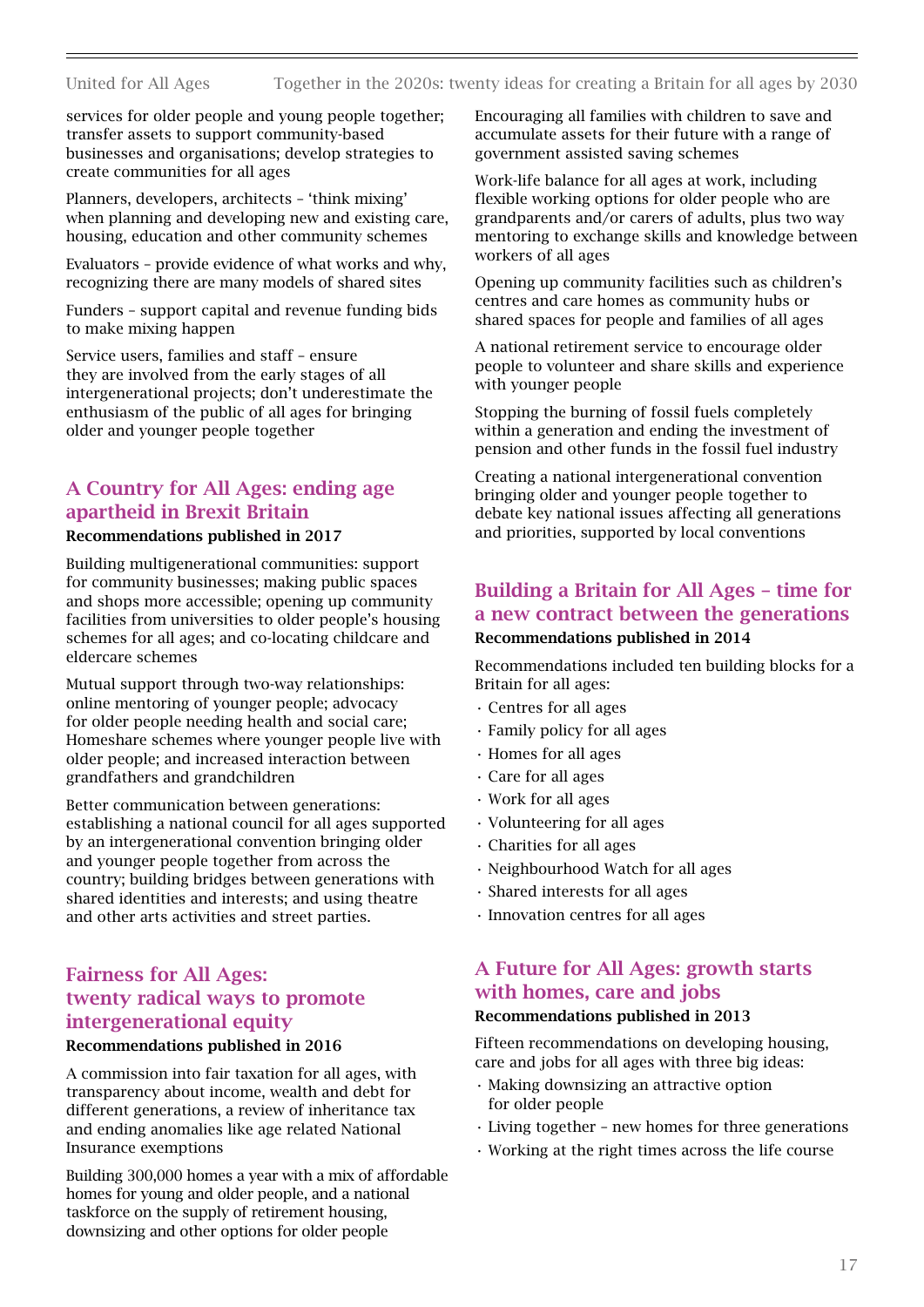#### United for All Ages Together in the 2020s: twenty ideas for creating a Britain for all ages by 2030

services for older people and young people together; transfer assets to support community-based businesses and organisations; develop strategies to create communities for all ages

Planners, developers, architects – 'think mixing' when planning and developing new and existing care, housing, education and other community schemes

Evaluators – provide evidence of what works and why, recognizing there are many models of shared sites

Funders – support capital and revenue funding bids to make mixing happen

Service users, families and staff – ensure they are involved from the early stages of all intergenerational projects; don't underestimate the enthusiasm of the public of all ages for bringing older and younger people together

## A Country for All Ages: ending age apartheid in Brexit Britain

#### Recommendations published in 2017

Building multigenerational communities: support for community businesses; making public spaces and shops more accessible; opening up community facilities from universities to older people's housing schemes for all ages; and co-locating childcare and eldercare schemes

Mutual support through two-way relationships: online mentoring of younger people; advocacy for older people needing health and social care; Homeshare schemes where younger people live with older people; and increased interaction between grandfathers and grandchildren

Better communication between generations: establishing a national council for all ages supported by an intergenerational convention bringing older and younger people together from across the country; building bridges between generations with shared identities and interests; and using theatre and other arts activities and street parties.

## Fairness for All Ages: twenty radical ways to promote intergenerational equity

#### Recommendations published in 2016

A commission into fair taxation for all ages, with transparency about income, wealth and debt for different generations, a review of inheritance tax and ending anomalies like age related National Insurance exemptions

Building 300,000 homes a year with a mix of affordable homes for young and older people, and a national taskforce on the supply of retirement housing, downsizing and other options for older people

Encouraging all families with children to save and accumulate assets for their future with a range of government assisted saving schemes

Work-life balance for all ages at work, including flexible working options for older people who are grandparents and/or carers of adults, plus two way mentoring to exchange skills and knowledge between workers of all ages

Opening up community facilities such as children's centres and care homes as community hubs or shared spaces for people and families of all ages

A national retirement service to encourage older people to volunteer and share skills and experience with younger people

Stopping the burning of fossil fuels completely within a generation and ending the investment of pension and other funds in the fossil fuel industry

Creating a national intergenerational convention bringing older and younger people together to debate key national issues affecting all generations and priorities, supported by local conventions

## Building a Britain for All Ages – time for a new contract between the generations Recommendations published in 2014

Recommendations included ten building blocks for a Britain for all ages:

- Centres for all ages
- Family policy for all ages
- Homes for all ages
- Care for all ages
- Work for all ages
- Volunteering for all ages
- Charities for all ages
- Neighbourhood Watch for all ages
- Shared interests for all ages
- Innovation centres for all ages

## A Future for All Ages: growth starts with homes, care and jobs

#### Recommendations published in 2013

Fifteen recommendations on developing housing, care and jobs for all ages with three big ideas:

- Making downsizing an attractive option for older people
- Living together new homes for three generations
- Working at the right times across the life course